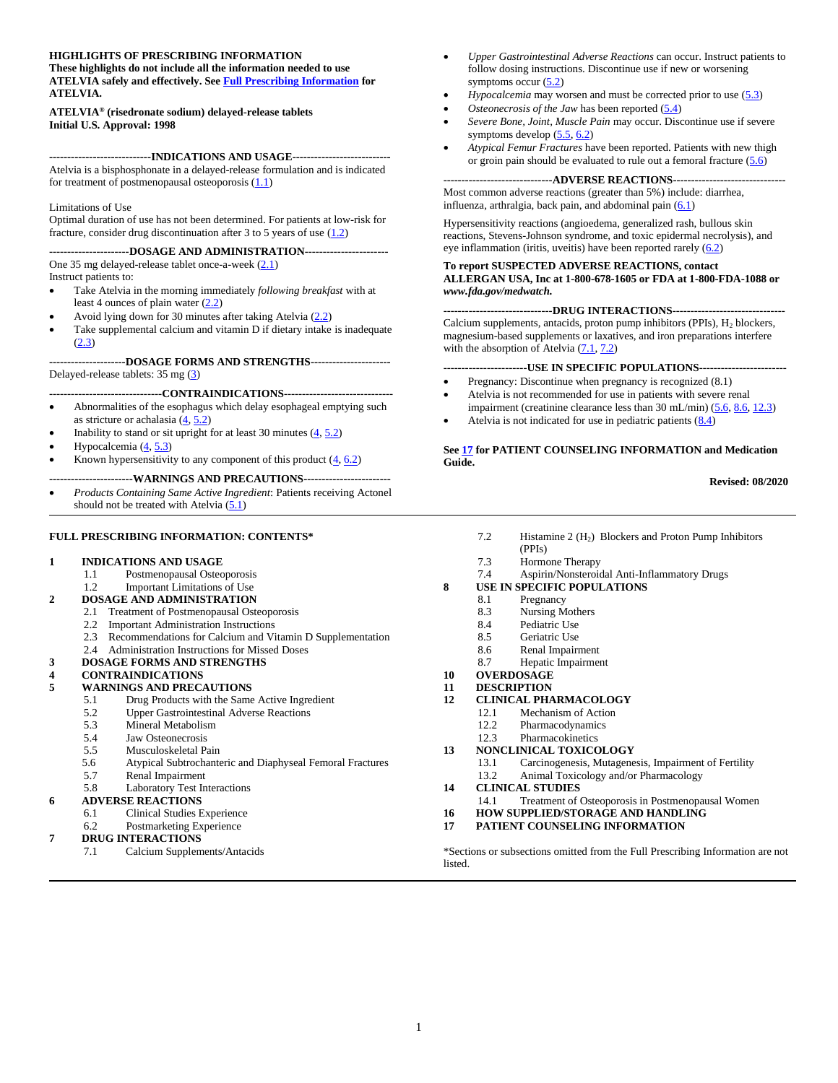#### **HIGHLIGHTS OF PRESCRIBING INFORMATION**

**These highlights do not include all the information needed to use ATELVIA safely and effectively. Se[e Full Prescribing Information](#page-1-0) for ATELVIA.** 

**ATELVIA® (risedronate sodium) delayed-release tablets Initial U.S. Approval: 1998**

**----------------------------INDICATIONS AND USAGE---------------------------** Atelvia is a bisphosphonate in a delayed-release formulation and is indicated for treatment of postmenopausal osteoporosis  $(1.1)$ 

#### Limitations of Use

Optimal duration of use has not been determined. For patients at low-risk for fracture, consider drug discontinuation after 3 to 5 years of use  $(1.2)$ 

#### **----------------------DOSAGE AND ADMINISTRATION-----------------------**

One 35 mg delayed-release tablet once-a-week [\(2.1\)](#page-1-3)

Instruct patients to:

- Take Atelvia in the morning immediately *following breakfast* with at least 4 ounces of plain water [\(2.2\)](#page-1-4)
- Avoid lying down for 30 minutes after taking Atelvia [\(2.2\)](#page-1-4)
- Take supplemental calcium and vitamin D if dietary intake is inadequate  $(2.3)$

**---------------------DOSAGE FORMS AND STRENGTHS----------------------** Delayed-release tablets: 35 mg [\(3\)](#page-2-0)

#### **-------------------------------CONTRAINDICATIONS------------------------------**

- Abnormalities of the esophagus which delay esophageal emptying such as stricture or achalasia  $(4, 5.2)$  $(4, 5.2)$
- Inability to stand or sit upright for at least 30 minutes  $(4, 5.2)$  $(4, 5.2)$
- Hypocalcemia [\(4,](#page-2-1) [5.3\)](#page-3-0)
- Known hypersensitivity to any component of this product  $(\underline{4}, 6.2)$  $(\underline{4}, 6.2)$

#### **-----------------------WARNINGS AND PRECAUTIONS------------------------**

• *Products Containing Same Active Ingredient*: Patients receiving Actonel should not be treated with Atelvia  $(5.1)$ 

#### **FULL PRESCRIBING INFORMATION: CONTENTS\***

#### **1 [INDICATIONS AND USAGE](#page-1-0)**

- 1.1 [Postmenopausal Osteoporosis](#page-1-1)
- 1.2 Important Limitations of Use
- **2 [DOSAGE AND ADMINISTRATION](#page-1-6)**
	- 2.1 [Treatment of Postmenopausal Osteoporosis](#page-1-3)
	- 2.2 Important Administration Instructions
		- 2.3 Recommendations for Calcium and Vitamin D Supplementation
	- 2.4 Administration Instructions for Missed Doses

#### **3 [DOSAGE FORMS AND STRENGTHS](#page-2-0)**

#### **4 [CONTRAINDICATIONS](#page-2-1)**

- **5 [WARNINGS AND PRECAUTIONS](#page-2-4)**
	- 5.1 [Drug Products with the Same Active Ingredient](#page-2-3)
	- [5.2 Upper Gastrointestinal Adverse Reactions](#page-2-2)
	- 5.3 [Mineral Metabolism](#page-3-0)
	-
	- 5.4 [Jaw Osteonecrosis](#page-3-1)<br>5.5 Musculoskeletal Pa [Musculoskeletal Pain](#page-3-2)
	- 5.6 Atypical Subtrochanteric and Diaphyseal Femoral Fractures
	-
	- 5.7 [Renal Impairment](#page-4-2)<br>5.8 Laboratory Test In [Laboratory Test Interactions](#page-4-3)

#### **6 [ADVERSE REACTIONS](#page-4-4)**

- 6.1 [Clinical Studies Experience](#page-4-1)
- 6.2 [Postmarketing Experience](#page-7-0)

#### **7 [DRUG INTERACTIONS](#page-8-1)**

7.1 [Calcium Supplements/Antacids](#page-8-0)

- *Upper Gastrointestinal Adverse Reactions* can occur. Instruct patients to follow dosing instructions. Discontinue use if new or worsening symptoms occur  $(5.2)$
- *Hypocalcemia* may worsen and must be corrected prior to use [\(5.3\)](#page-3-0)
- *Osteonecrosis of the Jaw* has been reported [\(5.4\)](#page-3-1)
- *Severe Bone, Joint, Muscle Pain* may occur. Discontinue use if severe symptoms develop [\(5.5,](#page-3-2) [6.2\)](#page-7-0)
- *Atypical Femur Fractures* have been reported. Patients with new thigh or groin pain should be evaluated to rule out a femoral fracture  $(5.6)$

#### **------------------------------ADVERSE REACTIONS-------------------------------**

Most common adverse reactions (greater than 5%) include: diarrhea, influenza, arthralgia, back pain, and abdominal pain  $(6.1)$ 

Hypersensitivity reactions (angioedema, generalized rash, bullous skin reactions, Stevens-Johnson syndrome, and toxic epidermal necrolysis), and eye inflammation (iritis, uveitis) have been reported rarely [\(6.2\)](#page-7-0)

#### **To report SUSPECTED ADVERSE REACTIONS, contact**

**ALLERGAN USA, Inc at 1-800-678-1605 or FDA at 1-800-FDA-1088 or**  *www.fda.gov/medwatch.*

#### **------------------------------DRUG INTERACTIONS-------------------------------**

Calcium supplements, antacids, proton pump inhibitors (PPIs), H<sub>2</sub> blockers, magnesium-based supplements or laxatives, and iron preparations interfere with the absorption of Atelvia  $(7.1, 7.2)$  $(7.1, 7.2)$ 

#### **-----------------------USE IN SPECIFIC POPULATIONS------------------------**

- Pregnancy: Discontinue when pregnancy is recognized  $(8.1)$
- Atelvia is not recommended for use in patients with severe renal
- impairment (creatinine clearance less than 30 mL/min) [\(5.6,](#page-4-2) [8.6,](#page-11-0) [12.3\)](#page-13-0) Atelvia is not indicated for use in pediatric patients  $(8.4)$

#### **Se[e 17](#page-20-0) for PATIENT COUNSELING INFORMATION and Medication Guide.**

#### **Revised: 08/2020**

- 7.2 Histamine 2 (H2) Blockers and Proton Pump Inhibitors (PPIs)
- 7.3 [Hormone Therapy](#page-8-2)
- 7.4 [Aspirin/Nonsteroidal Anti-Inflammatory Drugs](#page-9-0)
- **8 [USE IN SPECIFIC POPULATIONS](#page-9-1)**<br>8.1 **Pregnancy** 
	- [Pregnancy](#page-9-2)
	- 8.3 [Nursing Mothers](#page-10-1)
	- 8.4 [Pediatric Use](#page-10-0)
	-
	- 8.5 [Geriatric Use](#page-11-1)<br>8.6 Renal Impair 8.6 [Renal Impairment](#page-11-0)
	- 8.7 [Hepatic Impairment](#page-11-2)
- **10 [OVERDOSAGE](#page-11-3)**
- 
- **11 [DESCRIPTION](#page-12-0) 12 [CLINICAL PHARMACOLOGY](#page-13-1)**
	- 12.1 [Mechanism of Action](#page-13-2)
		-
		- 12.2 [Pharmacodynamics](#page-13-3)<br>12.3 Pharmacokinetics **[Pharmacokinetics](#page-13-0)**
- **13 [NONCLINICAL TOXICOLOGY](#page-15-0)**
	- 13.1 [Carcinogenesis, Mutagenesis, Impairment of Fertility](#page-15-1)
		- 13.2 [Animal Toxicology and/or Pharmacology](#page-16-0)
- **14 [CLINICAL STUDIES](#page-16-1)**
- 14.1 [Treatment of Osteoporosis in Postmenopausal Women](#page-16-2) **16 [HOW SUPPLIED/STORAGE AND HANDLING](#page-20-1)**
- **17 [PATIENT COUNSELING INFORMATION](#page-20-0)**

\*Sections or subsections omitted from the Full Prescribing Information are not listed.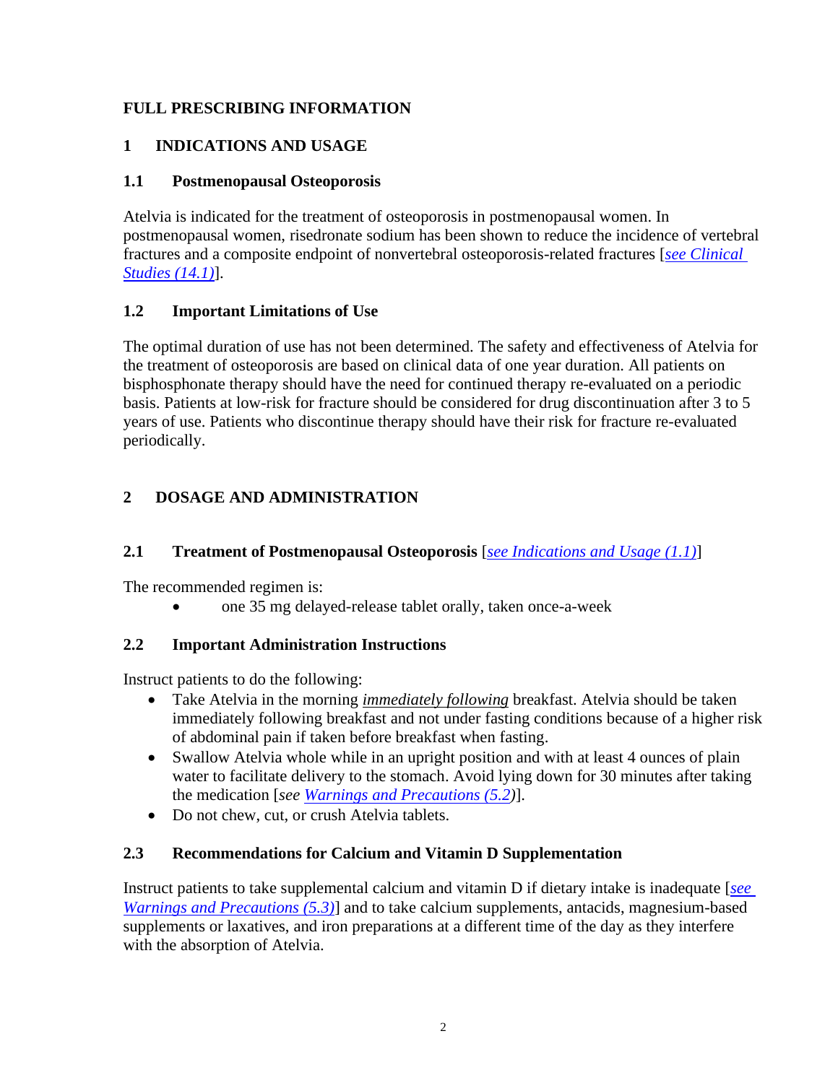## **FULL PRESCRIBING INFORMATION**

## <span id="page-1-0"></span>**1 INDICATIONS AND USAGE**

### <span id="page-1-1"></span>**1.1 Postmenopausal Osteoporosis**

Atelvia is indicated for the treatment of osteoporosis in postmenopausal women. In postmenopausal women, risedronate sodium has been shown to reduce the incidence of vertebral fractures and a composite endpoint of nonvertebral osteoporosis-related fractures [*[see Clinical](#page-16-2)  [Studies \(14.1\)](#page-16-2)*].

## <span id="page-1-2"></span>**1.2 Important Limitations of Use**

The optimal duration of use has not been determined. The safety and effectiveness of Atelvia for the treatment of osteoporosis are based on clinical data of one year duration. All patients on bisphosphonate therapy should have the need for continued therapy re-evaluated on a periodic basis. Patients at low-risk for fracture should be considered for drug discontinuation after 3 to 5 years of use. Patients who discontinue therapy should have their risk for fracture re-evaluated periodically.

# <span id="page-1-6"></span>**2 DOSAGE AND ADMINISTRATION**

## <span id="page-1-3"></span>**2.1 Treatment of Postmenopausal Osteoporosis** [*see [Indications and Usage \(1.1\)](#page-1-1)*]

The recommended regimen is:

• one 35 mg delayed-release tablet orally, taken once-a-week

## <span id="page-1-4"></span>**2.2 Important Administration Instructions**

Instruct patients to do the following:

- Take Atelvia in the morning *immediately following* breakfast. Atelvia should be taken immediately following breakfast and not under fasting conditions because of a higher risk of abdominal pain if taken before breakfast when fasting.
- Swallow Atelvia whole while in an upright position and with at least 4 ounces of plain water to facilitate delivery to the stomach. Avoid lying down for 30 minutes after taking the medication [*see [Warnings and Precautions \(5.2\)](#page-2-2)*].
- Do not chew, cut, or crush Atelvia tablets.

## <span id="page-1-5"></span>**2.3 Recommendations for Calcium and Vitamin D Supplementation**

Instruct patients to take supplemental calcium and vitamin D if dietary intake is inadequate [*[see](#page-3-0) [Warnings and Precautions \(5.3\)](#page-3-0)* and to take calcium supplements, antacids, magnesium-based supplements or laxatives, and iron preparations at a different time of the day as they interfere with the absorption of Atelvia.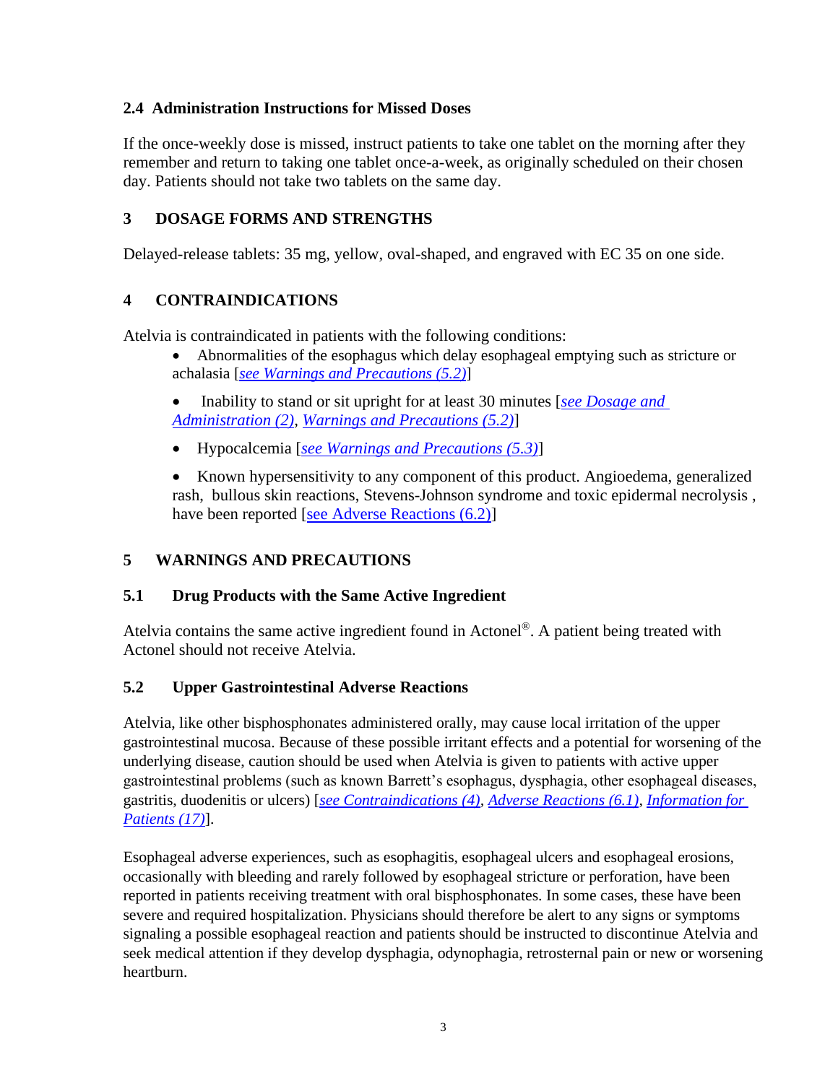#### **2.4 Administration Instructions for Missed Doses**

If the once-weekly dose is missed, instruct patients to take one tablet on the morning after they remember and return to taking one tablet once-a-week, as originally scheduled on their chosen day. Patients should not take two tablets on the same day.

## <span id="page-2-0"></span>**3 DOSAGE FORMS AND STRENGTHS**

Delayed-release tablets: 35 mg, yellow, oval-shaped, and engraved with EC 35 on one side.

#### <span id="page-2-1"></span>**4 CONTRAINDICATIONS**

Atelvia is contraindicated in patients with the following conditions:

- Abnormalities of the esophagus which delay esophageal emptying such as stricture or achalasia [*[see Warnings and Precautions \(5.2\)](#page-2-2)*]
- Inability to stand or sit upright for at least 30 minutes [*[see Dosage and](#page-1-6)  [Administration \(2\),](#page-1-6) [Warnings and Precautions \(5.2\)](#page-2-2)*]
- Hypocalcemia [*see [Warnings and Precautions \(5.3\)](#page-3-0)*]
- Known hypersensitivity to any component of this product. Angioedema, generalized rash, bullous skin reactions, Stevens-Johnson syndrome and toxic epidermal necrolysis , have been reported [\[see Adverse Reactions \(6.2\)\]](#page-7-0)

## <span id="page-2-4"></span>**5 WARNINGS AND PRECAUTIONS**

#### <span id="page-2-3"></span>**5.1 Drug Products with the Same Active Ingredient**

Atelvia contains the same active ingredient found in Actonel®. A patient being treated with Actonel should not receive Atelvia.

#### <span id="page-2-2"></span>**5.2 Upper Gastrointestinal Adverse Reactions**

Atelvia, like other bisphosphonates administered orally, may cause local irritation of the upper gastrointestinal mucosa. Because of these possible irritant effects and a potential for worsening of the underlying disease, caution should be used when Atelvia is given to patients with active upper gastrointestinal problems (such as known Barrett's esophagus, dysphagia, other esophageal diseases, gastritis, duodenitis or ulcers) [*[see Contraindications \(4\),](#page-2-1) [Adverse Reactions \(6.1\),](#page-4-1) [Information for](#page-20-0)  [Patients \(17\)](#page-20-0)*].

Esophageal adverse experiences, such as esophagitis, esophageal ulcers and esophageal erosions, occasionally with bleeding and rarely followed by esophageal stricture or perforation, have been reported in patients receiving treatment with oral bisphosphonates. In some cases, these have been severe and required hospitalization. Physicians should therefore be alert to any signs or symptoms signaling a possible esophageal reaction and patients should be instructed to discontinue Atelvia and seek medical attention if they develop dysphagia, odynophagia, retrosternal pain or new or worsening heartburn.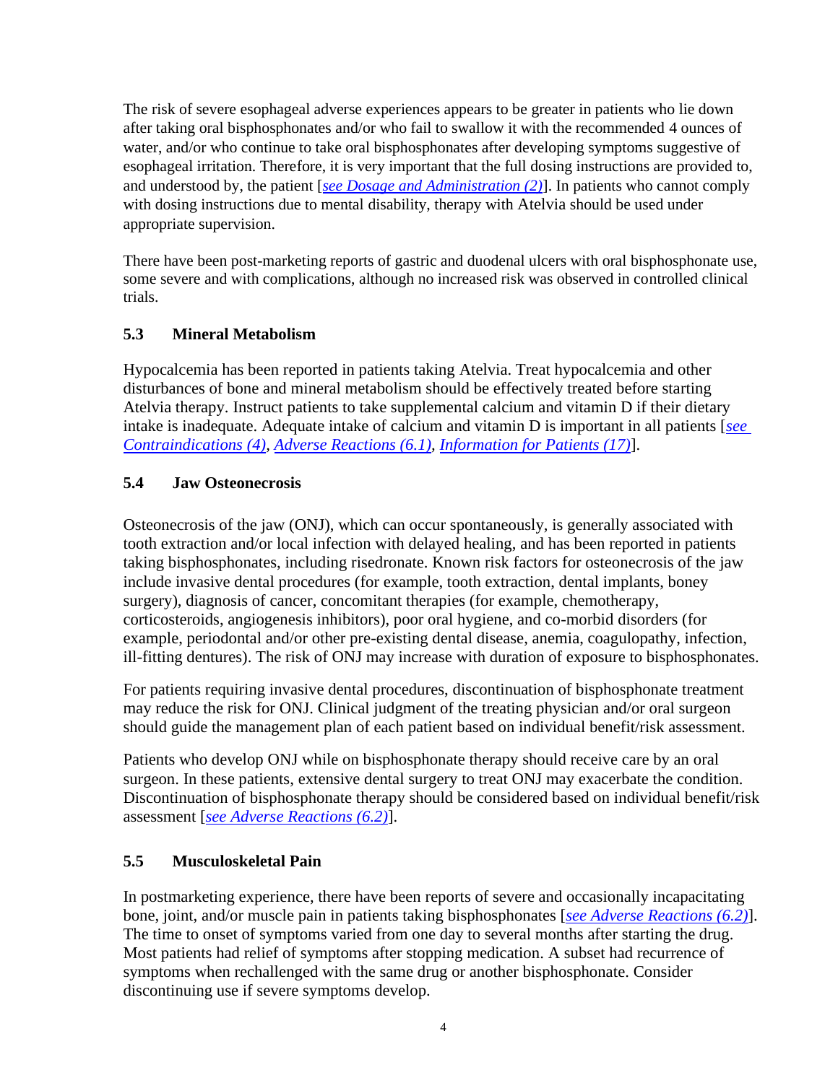The risk of severe esophageal adverse experiences appears to be greater in patients who lie down after taking oral bisphosphonates and/or who fail to swallow it with the recommended 4 ounces of water, and/or who continue to take oral bisphosphonates after developing symptoms suggestive of esophageal irritation. Therefore, it is very important that the full dosing instructions are provided to, and understood by, the patient [*[see Dosage and Administration \(2\)](#page-1-6)*]. In patients who cannot comply with dosing instructions due to mental disability, therapy with Atelvia should be used under appropriate supervision.

There have been post-marketing reports of gastric and duodenal ulcers with oral bisphosphonate use, some severe and with complications, although no increased risk was observed in controlled clinical trials.

## <span id="page-3-0"></span>**5.3 Mineral Metabolism**

Hypocalcemia has been reported in patients taking Atelvia. Treat hypocalcemia and other disturbances of bone and mineral metabolism should be effectively treated before starting Atelvia therapy. Instruct patients to take supplemental calcium and vitamin D if their dietary intake is inadequate. Adequate intake of calcium and vitamin D is important in all patients [*[see](#page-2-1) [Contraindications \(4\),](#page-2-1) [Adverse Reactions \(6.1\),](#page-4-1) [Information for Patients \(17\)](#page-20-0)*].

## <span id="page-3-1"></span>**5.4 Jaw Osteonecrosis**

Osteonecrosis of the jaw (ONJ), which can occur spontaneously, is generally associated with tooth extraction and/or local infection with delayed healing, and has been reported in patients taking bisphosphonates, including risedronate. Known risk factors for osteonecrosis of the jaw include invasive dental procedures (for example, tooth extraction, dental implants, boney surgery), diagnosis of cancer, concomitant therapies (for example, chemotherapy, corticosteroids, angiogenesis inhibitors), poor oral hygiene, and co-morbid disorders (for example, periodontal and/or other pre-existing dental disease, anemia, coagulopathy, infection, ill-fitting dentures). The risk of ONJ may increase with duration of exposure to bisphosphonates.

For patients requiring invasive dental procedures, discontinuation of bisphosphonate treatment may reduce the risk for ONJ. Clinical judgment of the treating physician and/or oral surgeon should guide the management plan of each patient based on individual benefit/risk assessment.

Patients who develop ONJ while on bisphosphonate therapy should receive care by an oral surgeon. In these patients, extensive dental surgery to treat ONJ may exacerbate the condition. Discontinuation of bisphosphonate therapy should be considered based on individual benefit/risk assessment [*see [Adverse Reactions \(6.2\)](#page-7-0)*].

# <span id="page-3-2"></span>**5.5 Musculoskeletal Pain**

In postmarketing experience, there have been reports of severe and occasionally incapacitating bone, joint, and/or muscle pain in patients taking bisphosphonates [*see [Adverse Reactions \(6.2\)](#page-7-0)*]. The time to onset of symptoms varied from one day to several months after starting the drug. Most patients had relief of symptoms after stopping medication. A subset had recurrence of symptoms when rechallenged with the same drug or another bisphosphonate. Consider discontinuing use if severe symptoms develop.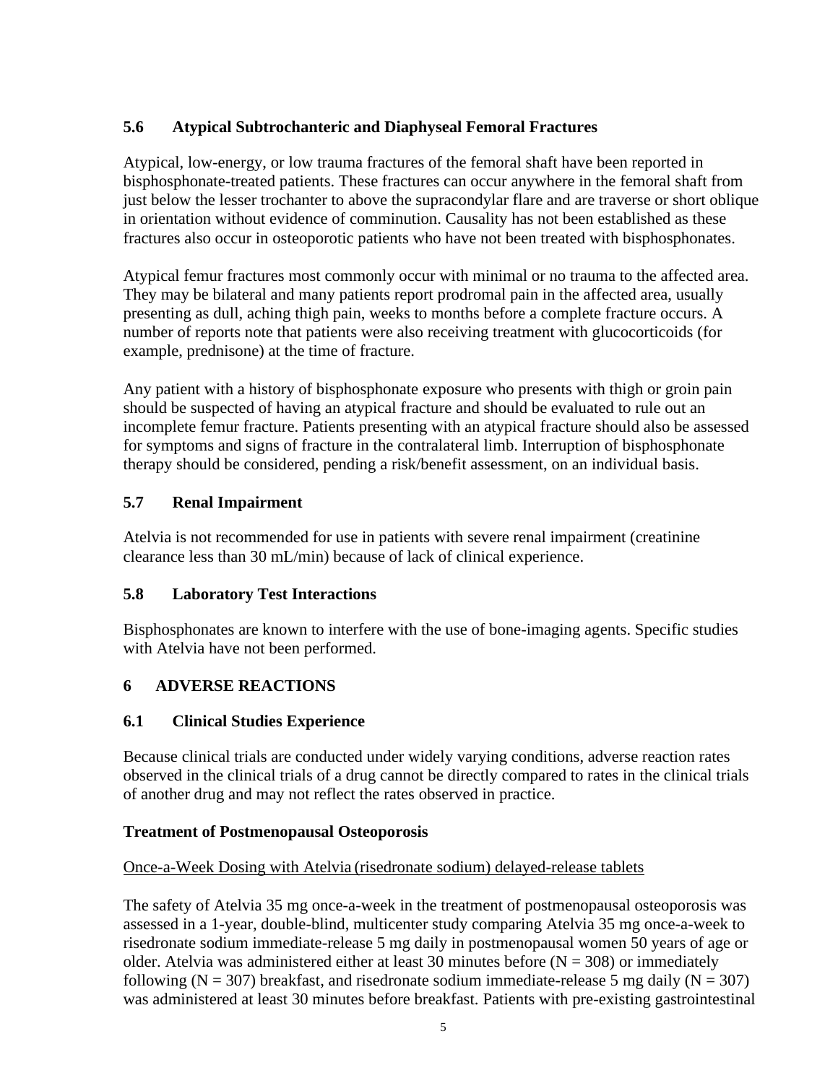## <span id="page-4-0"></span>**5.6 Atypical Subtrochanteric and Diaphyseal Femoral Fractures**

Atypical, low-energy, or low trauma fractures of the femoral shaft have been reported in bisphosphonate-treated patients. These fractures can occur anywhere in the femoral shaft from just below the lesser trochanter to above the supracondylar flare and are traverse or short oblique in orientation without evidence of comminution. Causality has not been established as these fractures also occur in osteoporotic patients who have not been treated with bisphosphonates.

Atypical femur fractures most commonly occur with minimal or no trauma to the affected area. They may be bilateral and many patients report prodromal pain in the affected area, usually presenting as dull, aching thigh pain, weeks to months before a complete fracture occurs. A number of reports note that patients were also receiving treatment with glucocorticoids (for example, prednisone) at the time of fracture.

Any patient with a history of bisphosphonate exposure who presents with thigh or groin pain should be suspected of having an atypical fracture and should be evaluated to rule out an incomplete femur fracture. Patients presenting with an atypical fracture should also be assessed for symptoms and signs of fracture in the contralateral limb. Interruption of bisphosphonate therapy should be considered, pending a risk/benefit assessment, on an individual basis.

## <span id="page-4-2"></span>**5.7 Renal Impairment**

Atelvia is not recommended for use in patients with severe renal impairment (creatinine clearance less than 30 mL/min) because of lack of clinical experience.

## <span id="page-4-3"></span>**5.8 Laboratory Test Interactions**

Bisphosphonates are known to interfere with the use of bone-imaging agents. Specific studies with Atelvia have not been performed.

# <span id="page-4-4"></span>**6 ADVERSE REACTIONS**

## <span id="page-4-1"></span>**6.1 Clinical Studies Experience**

Because clinical trials are conducted under widely varying conditions, adverse reaction rates observed in the clinical trials of a drug cannot be directly compared to rates in the clinical trials of another drug and may not reflect the rates observed in practice.

## **Treatment of Postmenopausal Osteoporosis**

## Once-a-Week Dosing with Atelvia (risedronate sodium) delayed-release tablets

The safety of Atelvia 35 mg once-a-week in the treatment of postmenopausal osteoporosis was assessed in a 1-year, double-blind, multicenter study comparing Atelvia 35 mg once-a-week to risedronate sodium immediate-release 5 mg daily in postmenopausal women 50 years of age or older. Atelvia was administered either at least 30 minutes before ( $N = 308$ ) or immediately following ( $N = 307$ ) breakfast, and risedronate sodium immediate-release 5 mg daily ( $N = 307$ ) was administered at least 30 minutes before breakfast. Patients with pre-existing gastrointestinal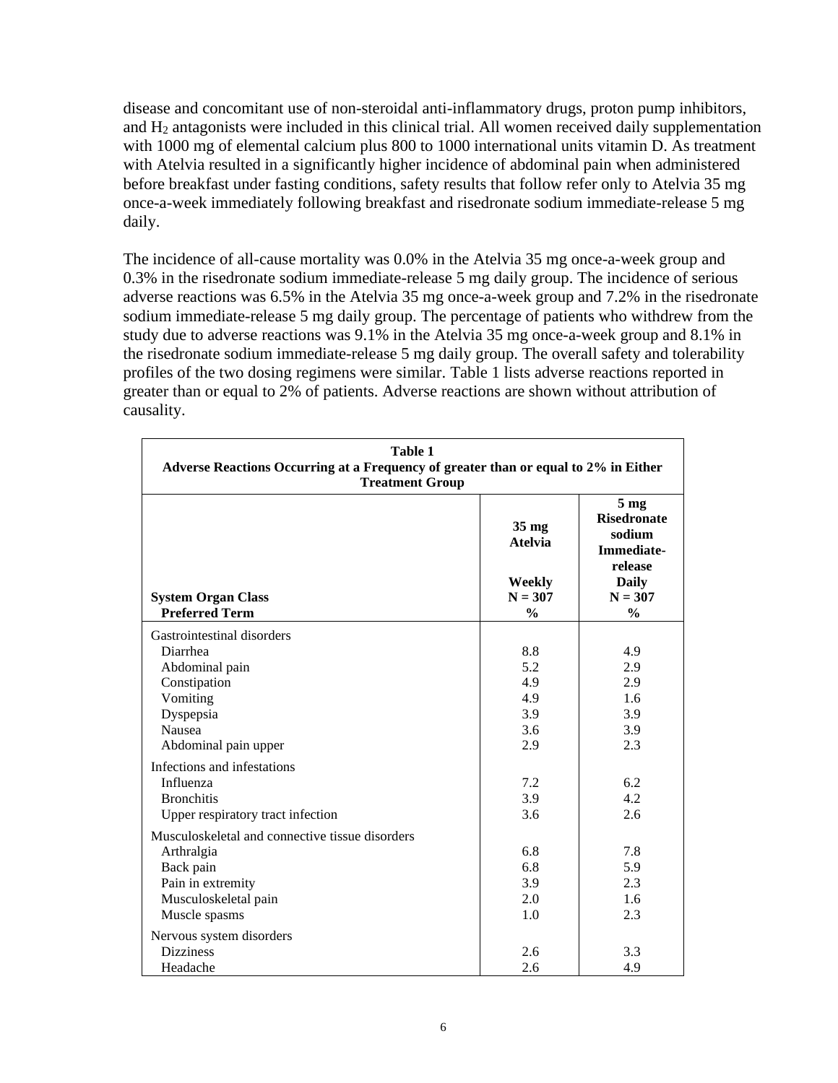disease and concomitant use of non-steroidal anti-inflammatory drugs, proton pump inhibitors, and H<sup>2</sup> antagonists were included in this clinical trial. All women received daily supplementation with 1000 mg of elemental calcium plus 800 to 1000 international units vitamin D. As treatment with Atelvia resulted in a significantly higher incidence of abdominal pain when administered before breakfast under fasting conditions, safety results that follow refer only to Atelvia 35 mg once-a-week immediately following breakfast and risedronate sodium immediate-release 5 mg daily.

The incidence of all-cause mortality was 0.0% in the Atelvia 35 mg once-a-week group and 0.3% in the risedronate sodium immediate-release 5 mg daily group. The incidence of serious adverse reactions was 6.5% in the Atelvia 35 mg once-a-week group and 7.2% in the risedronate sodium immediate-release 5 mg daily group. The percentage of patients who withdrew from the study due to adverse reactions was 9.1% in the Atelvia 35 mg once-a-week group and 8.1% in the risedronate sodium immediate-release 5 mg daily group. The overall safety and tolerability profiles of the two dosing regimens were similar. Table 1 lists adverse reactions reported in greater than or equal to 2% of patients. Adverse reactions are shown without attribution of causality.

| <b>Table 1</b><br>Adverse Reactions Occurring at a Frequency of greater than or equal to 2% in Either<br><b>Treatment Group</b> |                                                                           |                                                                                                                               |  |  |
|---------------------------------------------------------------------------------------------------------------------------------|---------------------------------------------------------------------------|-------------------------------------------------------------------------------------------------------------------------------|--|--|
| <b>System Organ Class</b><br><b>Preferred Term</b>                                                                              | $35 \text{ mg}$<br><b>Atelvia</b><br>Weekly<br>$N = 307$<br>$\frac{0}{0}$ | 5 <sub>mg</sub><br><b>Risedronate</b><br>sodium<br><b>Immediate-</b><br>release<br><b>Daily</b><br>$N = 307$<br>$\frac{0}{0}$ |  |  |
| Gastrointestinal disorders                                                                                                      |                                                                           |                                                                                                                               |  |  |
| Diarrhea                                                                                                                        | 8.8                                                                       | 4.9                                                                                                                           |  |  |
| Abdominal pain                                                                                                                  | 5.2                                                                       | 2.9                                                                                                                           |  |  |
| Constipation                                                                                                                    | 4.9                                                                       | 2.9                                                                                                                           |  |  |
| Vomiting                                                                                                                        | 4.9                                                                       | 1.6                                                                                                                           |  |  |
| Dyspepsia                                                                                                                       | 3.9                                                                       | 3.9                                                                                                                           |  |  |
| <b>Nausea</b>                                                                                                                   | 3.6                                                                       | 3.9                                                                                                                           |  |  |
| Abdominal pain upper                                                                                                            | 2.9                                                                       | 2.3                                                                                                                           |  |  |
| Infections and infestations                                                                                                     |                                                                           |                                                                                                                               |  |  |
| Influenza                                                                                                                       | 7.2                                                                       | 6.2                                                                                                                           |  |  |
| <b>Bronchitis</b>                                                                                                               | 3.9                                                                       | 4.2                                                                                                                           |  |  |
| Upper respiratory tract infection                                                                                               | 3.6                                                                       | 2.6                                                                                                                           |  |  |
| Musculoskeletal and connective tissue disorders                                                                                 |                                                                           |                                                                                                                               |  |  |
| Arthralgia                                                                                                                      | 6.8                                                                       | 7.8                                                                                                                           |  |  |
| Back pain                                                                                                                       | 6.8                                                                       | 5.9                                                                                                                           |  |  |
| Pain in extremity                                                                                                               | 3.9                                                                       | 2.3                                                                                                                           |  |  |
| Musculoskeletal pain                                                                                                            | 2.0                                                                       | 1.6                                                                                                                           |  |  |
| Muscle spasms                                                                                                                   | 1.0                                                                       | 2.3                                                                                                                           |  |  |
| Nervous system disorders                                                                                                        |                                                                           |                                                                                                                               |  |  |
| <b>Dizziness</b>                                                                                                                | 2.6                                                                       | 3.3                                                                                                                           |  |  |
| Headache                                                                                                                        | 2.6                                                                       | 4.9                                                                                                                           |  |  |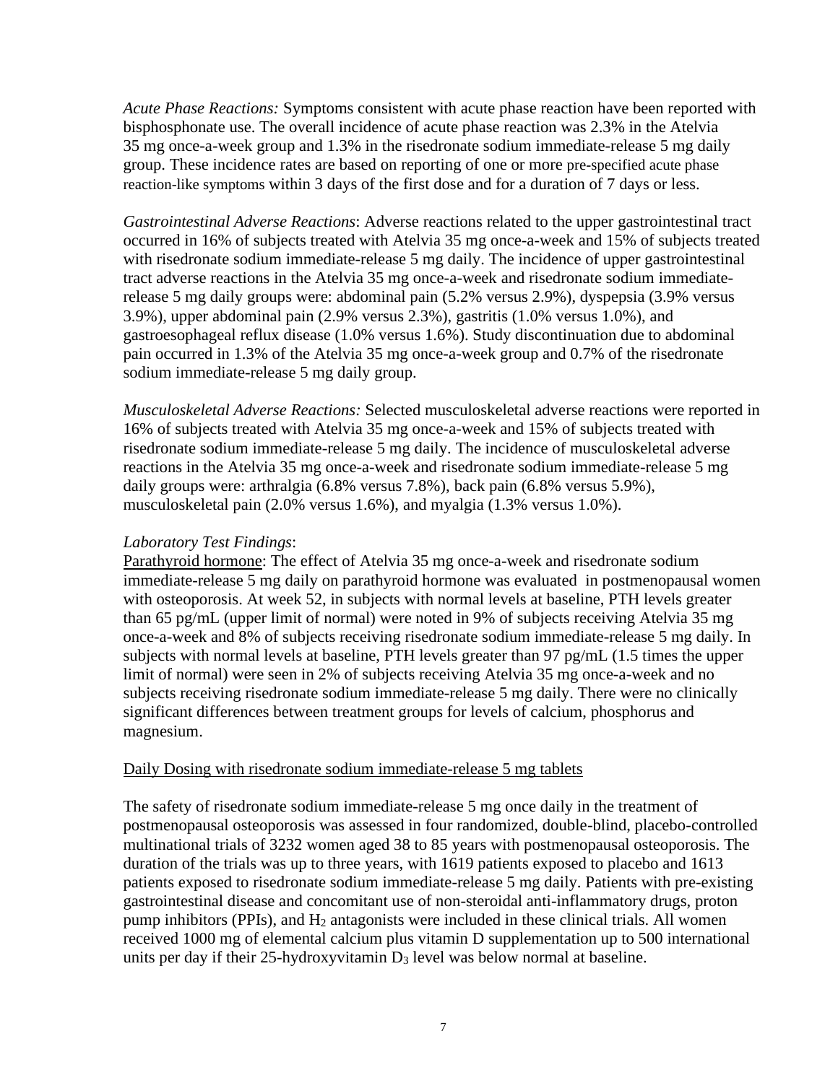*Acute Phase Reactions:* Symptoms consistent with acute phase reaction have been reported with bisphosphonate use. The overall incidence of acute phase reaction was 2.3% in the Atelvia 35 mg once-a-week group and 1.3% in the risedronate sodium immediate-release 5 mg daily group. These incidence rates are based on reporting of one or more pre-specified acute phase reaction-like symptoms within 3 days of the first dose and for a duration of 7 days or less.

*Gastrointestinal Adverse Reactions*: Adverse reactions related to the upper gastrointestinal tract occurred in 16% of subjects treated with Atelvia 35 mg once-a-week and 15% of subjects treated with risedronate sodium immediate-release 5 mg daily. The incidence of upper gastrointestinal tract adverse reactions in the Atelvia 35 mg once-a-week and risedronate sodium immediaterelease 5 mg daily groups were: abdominal pain (5.2% versus 2.9%), dyspepsia (3.9% versus 3.9%), upper abdominal pain (2.9% versus 2.3%), gastritis (1.0% versus 1.0%), and gastroesophageal reflux disease (1.0% versus 1.6%). Study discontinuation due to abdominal pain occurred in 1.3% of the Atelvia 35 mg once-a-week group and 0.7% of the risedronate sodium immediate-release 5 mg daily group.

*Musculoskeletal Adverse Reactions:* Selected musculoskeletal adverse reactions were reported in 16% of subjects treated with Atelvia 35 mg once-a-week and 15% of subjects treated with risedronate sodium immediate-release 5 mg daily. The incidence of musculoskeletal adverse reactions in the Atelvia 35 mg once-a-week and risedronate sodium immediate-release 5 mg daily groups were: arthralgia (6.8% versus 7.8%), back pain (6.8% versus 5.9%), musculoskeletal pain (2.0% versus 1.6%), and myalgia (1.3% versus 1.0%).

#### *Laboratory Test Findings*:

Parathyroid hormone: The effect of Atelvia 35 mg once-a-week and risedronate sodium immediate-release 5 mg daily on parathyroid hormone was evaluated in postmenopausal women with osteoporosis. At week 52, in subjects with normal levels at baseline, PTH levels greater than 65 pg/mL (upper limit of normal) were noted in 9% of subjects receiving Atelvia 35 mg once-a-week and 8% of subjects receiving risedronate sodium immediate-release 5 mg daily. In subjects with normal levels at baseline, PTH levels greater than 97 pg/mL (1.5 times the upper limit of normal) were seen in 2% of subjects receiving Atelvia 35 mg once-a-week and no subjects receiving risedronate sodium immediate-release 5 mg daily. There were no clinically significant differences between treatment groups for levels of calcium, phosphorus and magnesium.

#### Daily Dosing with risedronate sodium immediate-release 5 mg tablets

The safety of risedronate sodium immediate-release 5 mg once daily in the treatment of postmenopausal osteoporosis was assessed in four randomized, double-blind, placebo-controlled multinational trials of 3232 women aged 38 to 85 years with postmenopausal osteoporosis. The duration of the trials was up to three years, with 1619 patients exposed to placebo and 1613 patients exposed to risedronate sodium immediate-release 5 mg daily. Patients with pre-existing gastrointestinal disease and concomitant use of non-steroidal anti-inflammatory drugs, proton pump inhibitors (PPIs), and  $H_2$  antagonists were included in these clinical trials. All women received 1000 mg of elemental calcium plus vitamin D supplementation up to 500 international units per day if their 25-hydroxyvitamin  $D_3$  level was below normal at baseline.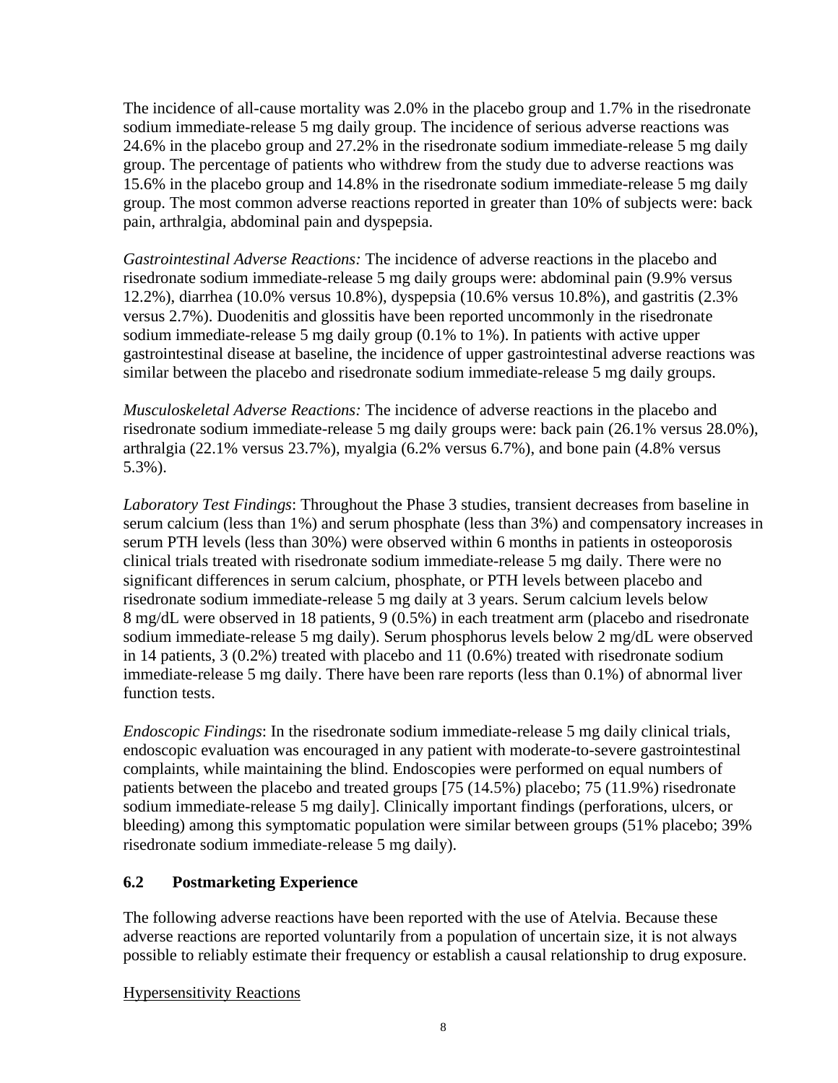The incidence of all-cause mortality was 2.0% in the placebo group and 1.7% in the risedronate sodium immediate-release 5 mg daily group. The incidence of serious adverse reactions was 24.6% in the placebo group and 27.2% in the risedronate sodium immediate-release 5 mg daily group. The percentage of patients who withdrew from the study due to adverse reactions was 15.6% in the placebo group and 14.8% in the risedronate sodium immediate-release 5 mg daily group. The most common adverse reactions reported in greater than 10% of subjects were: back pain, arthralgia, abdominal pain and dyspepsia.

*Gastrointestinal Adverse Reactions:* The incidence of adverse reactions in the placebo and risedronate sodium immediate-release 5 mg daily groups were: abdominal pain (9.9% versus 12.2%), diarrhea (10.0% versus 10.8%), dyspepsia (10.6% versus 10.8%), and gastritis (2.3% versus 2.7%). Duodenitis and glossitis have been reported uncommonly in the risedronate sodium immediate-release 5 mg daily group (0.1% to 1%). In patients with active upper gastrointestinal disease at baseline, the incidence of upper gastrointestinal adverse reactions was similar between the placebo and risedronate sodium immediate-release 5 mg daily groups.

*Musculoskeletal Adverse Reactions:* The incidence of adverse reactions in the placebo and risedronate sodium immediate-release 5 mg daily groups were: back pain (26.1% versus 28.0%), arthralgia (22.1% versus 23.7%), myalgia (6.2% versus 6.7%), and bone pain (4.8% versus 5.3%).

*Laboratory Test Findings*: Throughout the Phase 3 studies, transient decreases from baseline in serum calcium (less than 1%) and serum phosphate (less than 3%) and compensatory increases in serum PTH levels (less than 30%) were observed within 6 months in patients in osteoporosis clinical trials treated with risedronate sodium immediate-release 5 mg daily. There were no significant differences in serum calcium, phosphate, or PTH levels between placebo and risedronate sodium immediate-release 5 mg daily at 3 years. Serum calcium levels below 8 mg/dL were observed in 18 patients, 9 (0.5%) in each treatment arm (placebo and risedronate sodium immediate-release 5 mg daily). Serum phosphorus levels below 2 mg/dL were observed in 14 patients,  $3(0.2\%)$  treated with placebo and 11 (0.6%) treated with risedronate sodium immediate-release 5 mg daily. There have been rare reports (less than 0.1%) of abnormal liver function tests.

*Endoscopic Findings*: In the risedronate sodium immediate-release 5 mg daily clinical trials, endoscopic evaluation was encouraged in any patient with moderate-to-severe gastrointestinal complaints, while maintaining the blind. Endoscopies were performed on equal numbers of patients between the placebo and treated groups [75 (14.5%) placebo; 75 (11.9%) risedronate sodium immediate-release 5 mg daily]. Clinically important findings (perforations, ulcers, or bleeding) among this symptomatic population were similar between groups (51% placebo; 39% risedronate sodium immediate-release 5 mg daily).

## <span id="page-7-0"></span>**6.2 Postmarketing Experience**

The following adverse reactions have been reported with the use of Atelvia. Because these adverse reactions are reported voluntarily from a population of uncertain size, it is not always possible to reliably estimate their frequency or establish a causal relationship to drug exposure.

#### Hypersensitivity Reactions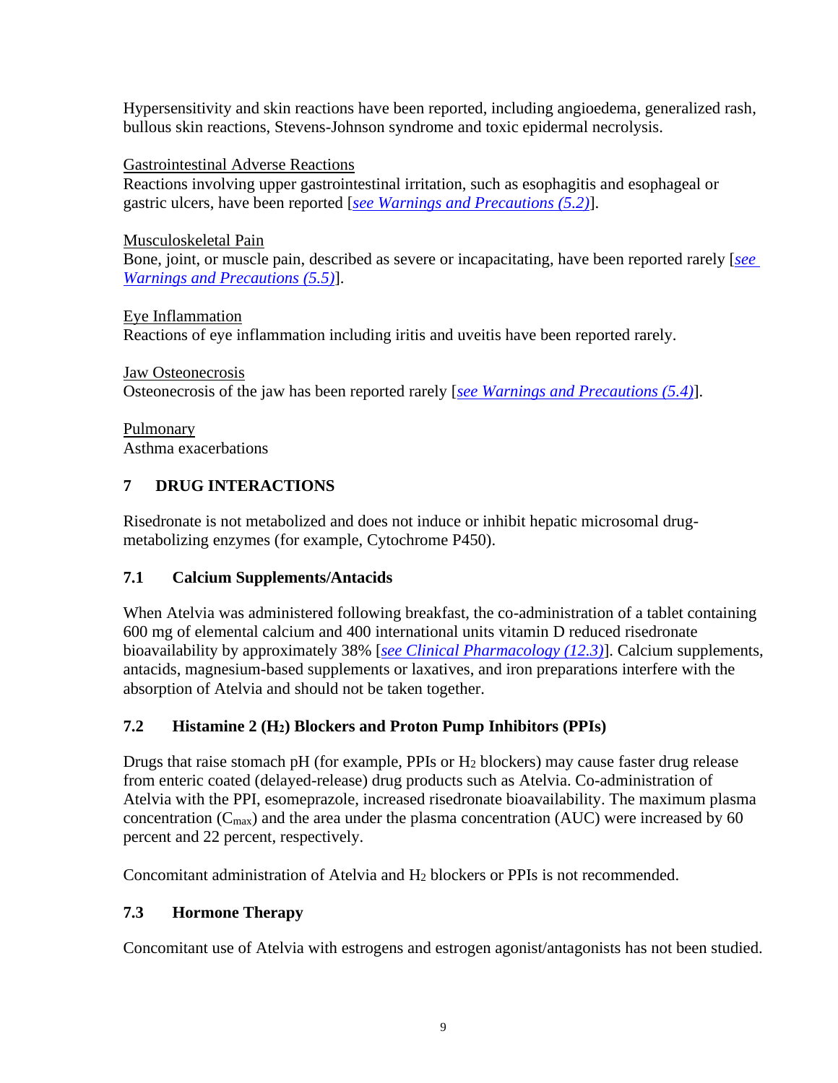Hypersensitivity and skin reactions have been reported, including angioedema, generalized rash, bullous skin reactions, Stevens-Johnson syndrome and toxic epidermal necrolysis.

Gastrointestinal Adverse Reactions

Reactions involving upper gastrointestinal irritation, such as esophagitis and esophageal or gastric ulcers, have been reported [*see Warnings and [Precautions \(5.2\)](#page-2-2)*].

Musculoskeletal Pain

Bone, joint, or muscle pain, described as severe or incapacitating, have been reported rarely [*[see](#page-3-2) Warnings and [Precautions \(5.5\)](#page-3-2)*].

Eye Inflammation Reactions of eye inflammation including iritis and uveitis have been reported rarely.

Jaw Osteonecrosis Osteonecrosis of the jaw has been reported rarely [*see Warnings and [Precautions \(5.4\)](#page-3-1)*].

Pulmonary Asthma exacerbations

# <span id="page-8-1"></span>**7 DRUG INTERACTIONS**

Risedronate is not metabolized and does not induce or inhibit hepatic microsomal drugmetabolizing enzymes (for example, Cytochrome P450).

# <span id="page-8-0"></span>**7.1 Calcium Supplements/Antacids**

When Atelvia was administered following breakfast, the co-administration of a tablet containing 600 mg of elemental calcium and 400 international units vitamin D reduced risedronate bioavailability by approximately 38% [*[see Clinical Pharmacology \(12.3\)](#page-13-0)*]. Calcium supplements, antacids, magnesium-based supplements or laxatives, and iron preparations interfere with the absorption of Atelvia and should not be taken together.

# **7.2 Histamine 2 (H2) Blockers and Proton Pump Inhibitors (PPIs)**

Drugs that raise stomach pH (for example, PPIs or H<sup>2</sup> blockers) may cause faster drug release from enteric coated (delayed-release) drug products such as Atelvia. Co-administration of Atelvia with the PPI, esomeprazole, increased risedronate bioavailability. The maximum plasma concentration  $(C_{\text{max}})$  and the area under the plasma concentration (AUC) were increased by 60 percent and 22 percent, respectively.

Concomitant administration of Atelvia and H<sup>2</sup> blockers or PPIs is not recommended.

# <span id="page-8-2"></span>**7.3 Hormone Therapy**

Concomitant use of Atelvia with estrogens and estrogen agonist/antagonists has not been studied.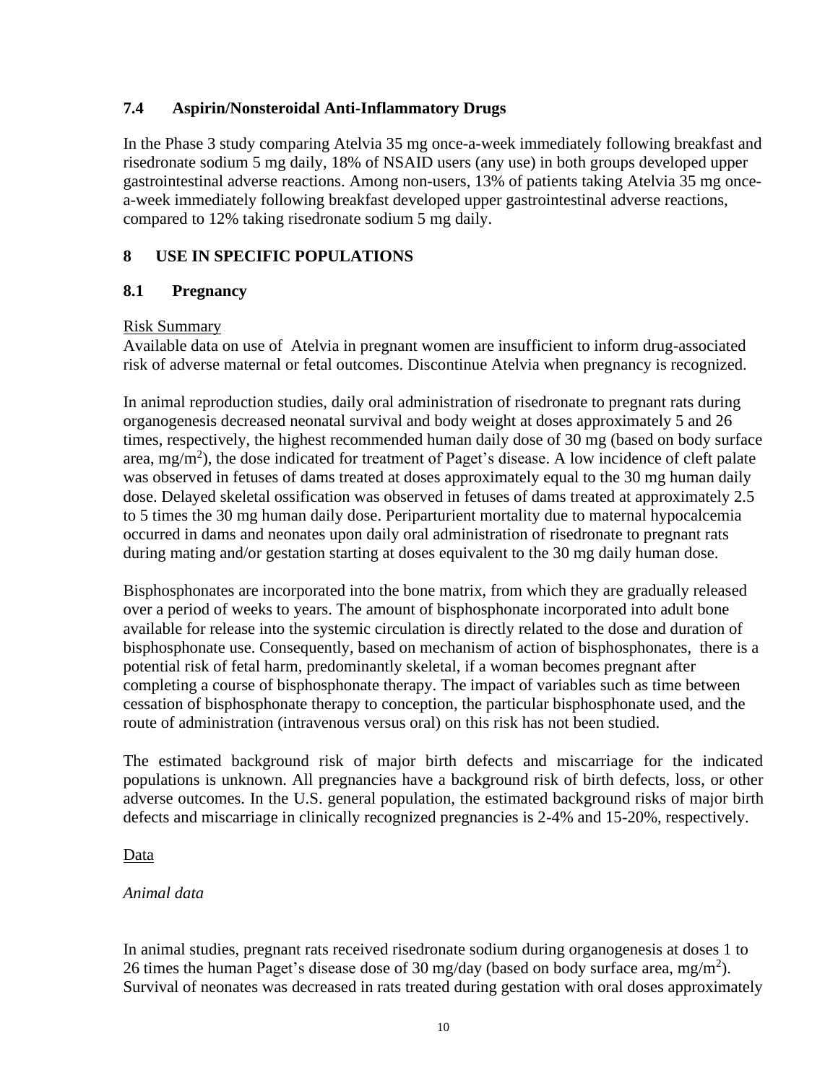#### <span id="page-9-0"></span>**7.4 Aspirin/Nonsteroidal Anti-Inflammatory Drugs**

In the Phase 3 study comparing Atelvia 35 mg once-a-week immediately following breakfast and risedronate sodium 5 mg daily, 18% of NSAID users (any use) in both groups developed upper gastrointestinal adverse reactions. Among non-users, 13% of patients taking Atelvia 35 mg oncea-week immediately following breakfast developed upper gastrointestinal adverse reactions, compared to 12% taking risedronate sodium 5 mg daily.

### <span id="page-9-1"></span>**8 USE IN SPECIFIC POPULATIONS**

#### <span id="page-9-2"></span>**8.1 Pregnancy**

#### Risk Summary

Available data on use of Atelvia in pregnant women are insufficient to inform drug-associated risk of adverse maternal or fetal outcomes. Discontinue Atelvia when pregnancy is recognized.

In animal reproduction studies, daily oral administration of risedronate to pregnant rats during organogenesis decreased neonatal survival and body weight at doses approximately 5 and 26 times, respectively, the highest recommended human daily dose of 30 mg (based on body surface area, mg/m<sup>2</sup>), the dose indicated for treatment of Paget's disease. A low incidence of cleft palate was observed in fetuses of dams treated at doses approximately equal to the 30 mg human daily dose. Delayed skeletal ossification was observed in fetuses of dams treated at approximately 2.5 to 5 times the 30 mg human daily dose. Periparturient mortality due to maternal hypocalcemia occurred in dams and neonates upon daily oral administration of risedronate to pregnant rats during mating and/or gestation starting at doses equivalent to the 30 mg daily human dose.

Bisphosphonates are incorporated into the bone matrix, from which they are gradually released over a period of weeks to years. The amount of bisphosphonate incorporated into adult bone available for release into the systemic circulation is directly related to the dose and duration of bisphosphonate use. Consequently, based on mechanism of action of bisphosphonates, there is a potential risk of fetal harm, predominantly skeletal, if a woman becomes pregnant after completing a course of bisphosphonate therapy. The impact of variables such as time between cessation of bisphosphonate therapy to conception, the particular bisphosphonate used, and the route of administration (intravenous versus oral) on this risk has not been studied.

The estimated background risk of major birth defects and miscarriage for the indicated populations is unknown. All pregnancies have a background risk of birth defects, loss, or other adverse outcomes. In the U.S. general population, the estimated background risks of major birth defects and miscarriage in clinically recognized pregnancies is 2-4% and 15-20%, respectively.

#### Data

#### *Animal data*

In animal studies, pregnant rats received risedronate sodium during organogenesis at doses 1 to 26 times the human Paget's disease dose of 30 mg/day (based on body surface area, mg/m<sup>2</sup>). Survival of neonates was decreased in rats treated during gestation with oral doses approximately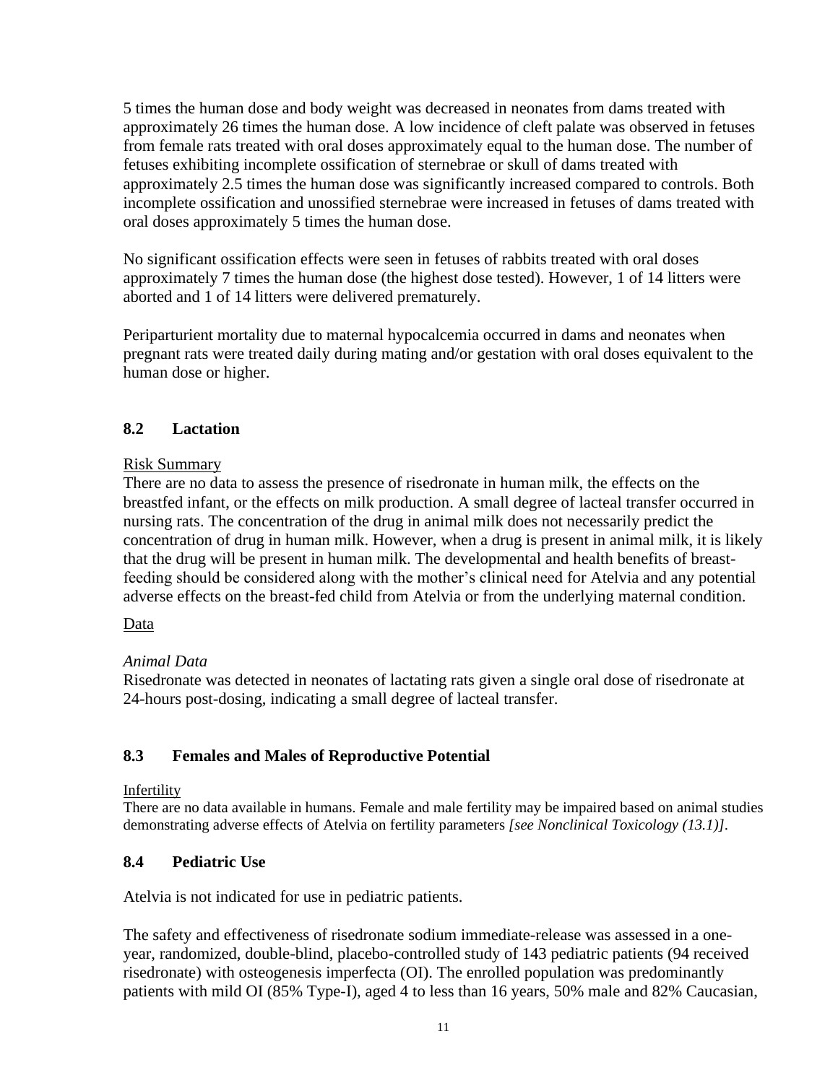5 times the human dose and body weight was decreased in neonates from dams treated with approximately 26 times the human dose. A low incidence of cleft palate was observed in fetuses from female rats treated with oral doses approximately equal to the human dose. The number of fetuses exhibiting incomplete ossification of sternebrae or skull of dams treated with approximately 2.5 times the human dose was significantly increased compared to controls. Both incomplete ossification and unossified sternebrae were increased in fetuses of dams treated with oral doses approximately 5 times the human dose.

No significant ossification effects were seen in fetuses of rabbits treated with oral doses approximately 7 times the human dose (the highest dose tested). However, 1 of 14 litters were aborted and 1 of 14 litters were delivered prematurely.

Periparturient mortality due to maternal hypocalcemia occurred in dams and neonates when pregnant rats were treated daily during mating and/or gestation with oral doses equivalent to the human dose or higher.

## **8.2 Lactation**

#### Risk Summary

There are no data to assess the presence of risedronate in human milk, the effects on the breastfed infant, or the effects on milk production. A small degree of lacteal transfer occurred in nursing rats. The concentration of the drug in animal milk does not necessarily predict the concentration of drug in human milk. However, when a drug is present in animal milk, it is likely that the drug will be present in human milk. The developmental and health benefits of breastfeeding should be considered along with the mother's clinical need for Atelvia and any potential adverse effects on the breast-fed child from Atelvia or from the underlying maternal condition.

#### Data

#### *Animal Data*

Risedronate was detected in neonates of lactating rats given a single oral dose of risedronate at 24-hours post-dosing, indicating a small degree of lacteal transfer.

#### <span id="page-10-1"></span>**8.3 Females and Males of Reproductive Potential**

#### Infertility

There are no data available in humans. Female and male fertility may be impaired based on animal studies demonstrating adverse effects of Atelvia on fertility parameters *[see Nonclinical Toxicology (13.1)]*.

#### <span id="page-10-0"></span>**8.4 Pediatric Use**

Atelvia is not indicated for use in pediatric patients.

The safety and effectiveness of risedronate sodium immediate-release was assessed in a oneyear, randomized, double-blind, placebo-controlled study of 143 pediatric patients (94 received risedronate) with osteogenesis imperfecta (OI). The enrolled population was predominantly patients with mild OI (85% Type-I), aged 4 to less than 16 years, 50% male and 82% Caucasian,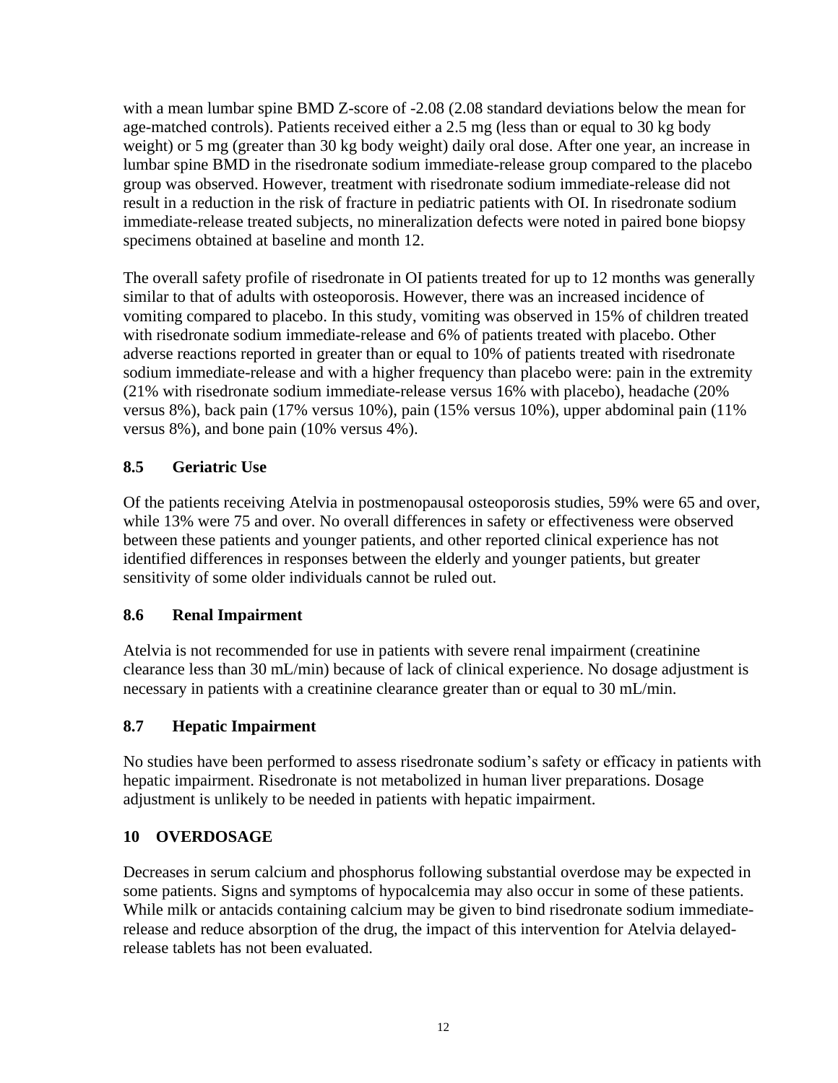with a mean lumbar spine BMD Z-score of -2.08 (2.08 standard deviations below the mean for age-matched controls). Patients received either a 2.5 mg (less than or equal to 30 kg body weight) or 5 mg (greater than 30 kg body weight) daily oral dose. After one year, an increase in lumbar spine BMD in the risedronate sodium immediate-release group compared to the placebo group was observed. However, treatment with risedronate sodium immediate-release did not result in a reduction in the risk of fracture in pediatric patients with OI. In risedronate sodium immediate-release treated subjects, no mineralization defects were noted in paired bone biopsy specimens obtained at baseline and month 12.

The overall safety profile of risedronate in OI patients treated for up to 12 months was generally similar to that of adults with osteoporosis. However, there was an increased incidence of vomiting compared to placebo. In this study, vomiting was observed in 15% of children treated with risedronate sodium immediate-release and 6% of patients treated with placebo. Other adverse reactions reported in greater than or equal to 10% of patients treated with risedronate sodium immediate-release and with a higher frequency than placebo were: pain in the extremity (21% with risedronate sodium immediate-release versus 16% with placebo), headache (20% versus 8%), back pain (17% versus 10%), pain (15% versus 10%), upper abdominal pain (11% versus 8%), and bone pain (10% versus 4%).

## <span id="page-11-1"></span>**8.5 Geriatric Use**

Of the patients receiving Atelvia in postmenopausal osteoporosis studies, 59% were 65 and over, while 13% were 75 and over. No overall differences in safety or effectiveness were observed between these patients and younger patients, and other reported clinical experience has not identified differences in responses between the elderly and younger patients, but greater sensitivity of some older individuals cannot be ruled out.

## <span id="page-11-0"></span>**8.6 Renal Impairment**

Atelvia is not recommended for use in patients with severe renal impairment (creatinine clearance less than 30 mL/min) because of lack of clinical experience. No dosage adjustment is necessary in patients with a creatinine clearance greater than or equal to 30 mL/min.

## <span id="page-11-2"></span>**8.7 Hepatic Impairment**

No studies have been performed to assess risedronate sodium's safety or efficacy in patients with hepatic impairment. Risedronate is not metabolized in human liver preparations. Dosage adjustment is unlikely to be needed in patients with hepatic impairment.

## <span id="page-11-3"></span>**10 OVERDOSAGE**

Decreases in serum calcium and phosphorus following substantial overdose may be expected in some patients. Signs and symptoms of hypocalcemia may also occur in some of these patients. While milk or antacids containing calcium may be given to bind risedronate sodium immediaterelease and reduce absorption of the drug, the impact of this intervention for Atelvia delayedrelease tablets has not been evaluated.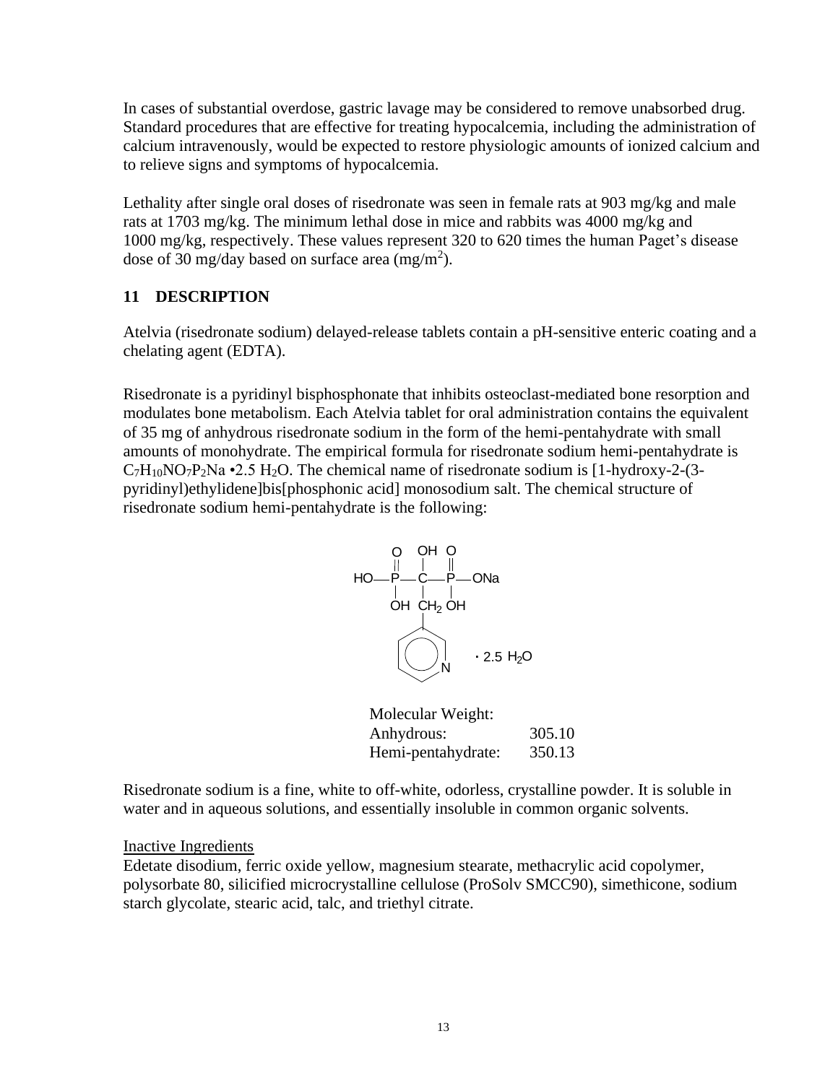In cases of substantial overdose, gastric lavage may be considered to remove unabsorbed drug. Standard procedures that are effective for treating hypocalcemia, including the administration of calcium intravenously, would be expected to restore physiologic amounts of ionized calcium and to relieve signs and symptoms of hypocalcemia.

Lethality after single oral doses of risedronate was seen in female rats at 903 mg/kg and male rats at 1703 mg/kg. The minimum lethal dose in mice and rabbits was 4000 mg/kg and 1000 mg/kg, respectively. These values represent 320 to 620 times the human Paget's disease dose of 30 mg/day based on surface area  $(mg/m<sup>2</sup>)$ .

#### <span id="page-12-0"></span>**11 DESCRIPTION**

Atelvia (risedronate sodium) delayed-release tablets contain a pH-sensitive enteric coating and a chelating agent (EDTA).

Risedronate is a pyridinyl bisphosphonate that inhibits osteoclast-mediated bone resorption and modulates bone metabolism. Each Atelvia tablet for oral administration contains the equivalent of 35 mg of anhydrous risedronate sodium in the form of the hemi-pentahydrate with small amounts of monohydrate. The empirical formula for risedronate sodium hemi-pentahydrate is  $C_7H_{10}NO_7P_2Na$  •2.5 H<sub>2</sub>O. The chemical name of risedronate sodium is [1-hydroxy-2-(3pyridinyl)ethylidene]bis[phosphonic acid] monosodium salt. The chemical structure of risedronate sodium hemi-pentahydrate is the following:



| Molecular Weight:  |        |
|--------------------|--------|
| Anhydrous:         | 305.10 |
| Hemi-pentahydrate: | 350.13 |

Risedronate sodium is a fine, white to off-white, odorless, crystalline powder. It is soluble in water and in aqueous solutions, and essentially insoluble in common organic solvents.

#### Inactive Ingredients

Edetate disodium, ferric oxide yellow, magnesium stearate, methacrylic acid copolymer, polysorbate 80, silicified microcrystalline cellulose (ProSolv SMCC90), simethicone, sodium starch glycolate, stearic acid, talc, and triethyl citrate.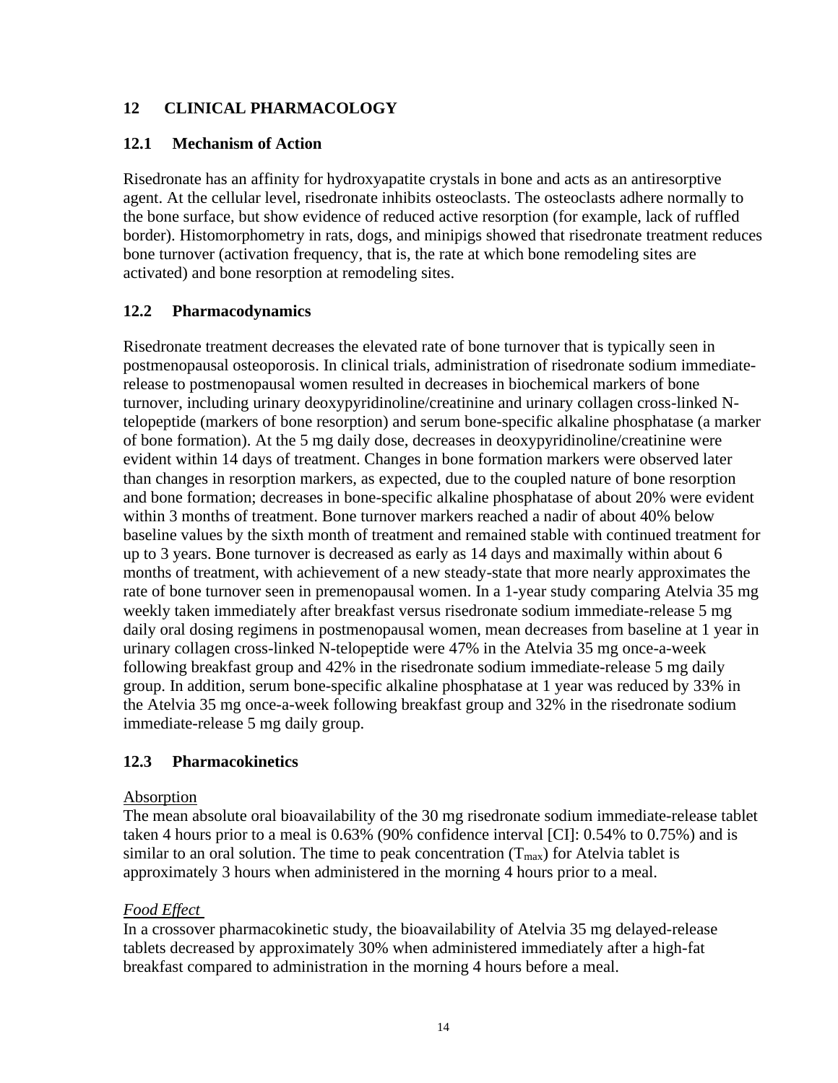### <span id="page-13-1"></span>**12 CLINICAL PHARMACOLOGY**

#### <span id="page-13-2"></span>**12.1 Mechanism of Action**

Risedronate has an affinity for hydroxyapatite crystals in bone and acts as an antiresorptive agent. At the cellular level, risedronate inhibits osteoclasts. The osteoclasts adhere normally to the bone surface, but show evidence of reduced active resorption (for example, lack of ruffled border). Histomorphometry in rats, dogs, and minipigs showed that risedronate treatment reduces bone turnover (activation frequency, that is, the rate at which bone remodeling sites are activated) and bone resorption at remodeling sites.

#### <span id="page-13-3"></span>**12.2 Pharmacodynamics**

Risedronate treatment decreases the elevated rate of bone turnover that is typically seen in postmenopausal osteoporosis. In clinical trials, administration of risedronate sodium immediaterelease to postmenopausal women resulted in decreases in biochemical markers of bone turnover, including urinary deoxypyridinoline/creatinine and urinary collagen cross-linked Ntelopeptide (markers of bone resorption) and serum bone-specific alkaline phosphatase (a marker of bone formation). At the 5 mg daily dose, decreases in deoxypyridinoline/creatinine were evident within 14 days of treatment. Changes in bone formation markers were observed later than changes in resorption markers, as expected, due to the coupled nature of bone resorption and bone formation; decreases in bone-specific alkaline phosphatase of about 20% were evident within 3 months of treatment. Bone turnover markers reached a nadir of about 40% below baseline values by the sixth month of treatment and remained stable with continued treatment for up to 3 years. Bone turnover is decreased as early as 14 days and maximally within about 6 months of treatment, with achievement of a new steady-state that more nearly approximates the rate of bone turnover seen in premenopausal women. In a 1-year study comparing Atelvia 35 mg weekly taken immediately after breakfast versus risedronate sodium immediate-release 5 mg daily oral dosing regimens in postmenopausal women, mean decreases from baseline at 1 year in urinary collagen cross-linked N-telopeptide were 47% in the Atelvia 35 mg once-a-week following breakfast group and 42% in the risedronate sodium immediate-release 5 mg daily group. In addition, serum bone-specific alkaline phosphatase at 1 year was reduced by 33% in the Atelvia 35 mg once-a-week following breakfast group and 32% in the risedronate sodium immediate-release 5 mg daily group.

#### <span id="page-13-0"></span>**12.3 Pharmacokinetics**

#### Absorption

The mean absolute oral bioavailability of the 30 mg risedronate sodium immediate-release tablet taken 4 hours prior to a meal is 0.63% (90% confidence interval [CI]: 0.54% to 0.75%) and is similar to an oral solution. The time to peak concentration  $(T_{max})$  for Atelvia tablet is approximately 3 hours when administered in the morning 4 hours prior to a meal.

#### *Food Effect*

In a crossover pharmacokinetic study, the bioavailability of Atelvia 35 mg delayed-release tablets decreased by approximately 30% when administered immediately after a high-fat breakfast compared to administration in the morning 4 hours before a meal.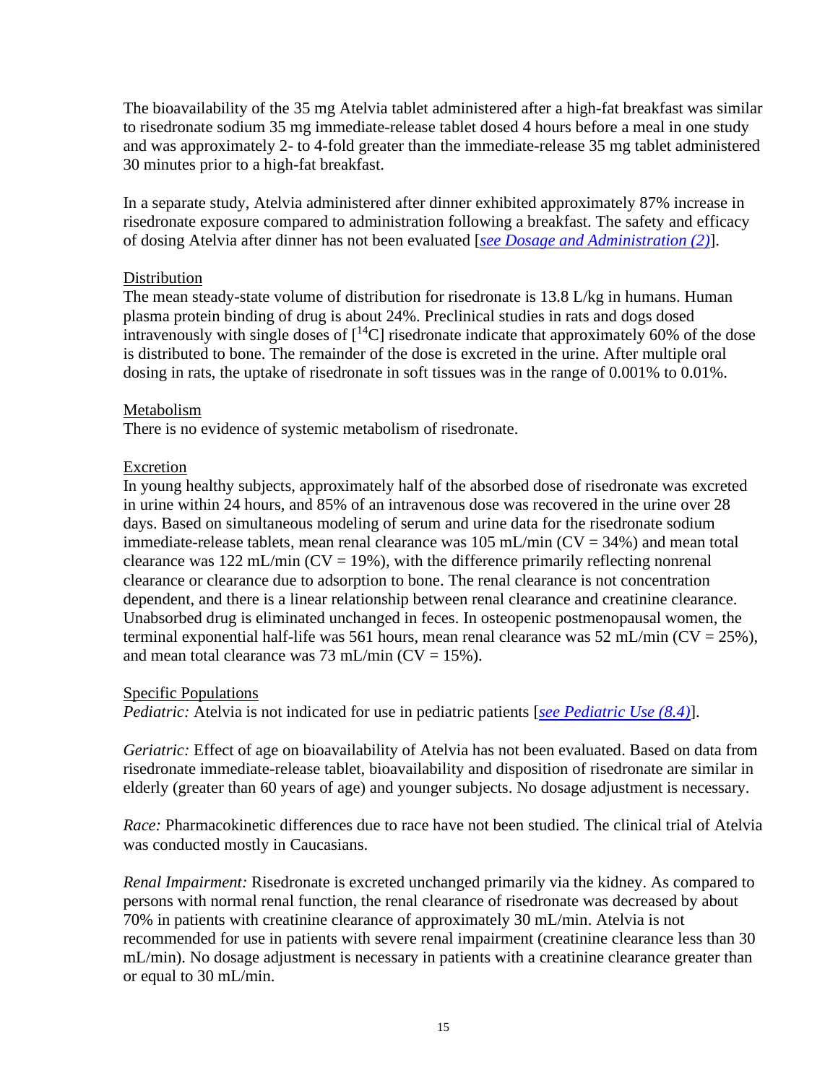The bioavailability of the 35 mg Atelvia tablet administered after a high-fat breakfast was similar to risedronate sodium 35 mg immediate-release tablet dosed 4 hours before a meal in one study and was approximately 2- to 4-fold greater than the immediate-release 35 mg tablet administered 30 minutes prior to a high-fat breakfast.

In a separate study, Atelvia administered after dinner exhibited approximately 87% increase in risedronate exposure compared to administration following a breakfast. The safety and efficacy of dosing Atelvia after dinner has not been evaluated [*[see Dosage and Administration \(2\)](#page-1-6)*].

#### Distribution

The mean steady-state volume of distribution for risedronate is 13.8 L/kg in humans. Human plasma protein binding of drug is about 24%. Preclinical studies in rats and dogs dosed intravenously with single doses of  $\lceil {^{14}C} \rceil$  risedronate indicate that approximately 60% of the dose is distributed to bone. The remainder of the dose is excreted in the urine. After multiple oral dosing in rats, the uptake of risedronate in soft tissues was in the range of 0.001% to 0.01%.

#### Metabolism

There is no evidence of systemic metabolism of risedronate.

#### Excretion

In young healthy subjects, approximately half of the absorbed dose of risedronate was excreted in urine within 24 hours, and 85% of an intravenous dose was recovered in the urine over 28 days. Based on simultaneous modeling of serum and urine data for the risedronate sodium immediate-release tablets, mean renal clearance was  $105$  mL/min (CV = 34%) and mean total clearance was  $122$  mL/min (CV = 19%), with the difference primarily reflecting nonrenal clearance or clearance due to adsorption to bone. The renal clearance is not concentration dependent, and there is a linear relationship between renal clearance and creatinine clearance. Unabsorbed drug is eliminated unchanged in feces. In osteopenic postmenopausal women, the terminal exponential half-life was 561 hours, mean renal clearance was 52 mL/min ( $CV = 25\%$ ), and mean total clearance was 73 mL/min  $(CV = 15\%)$ .

#### Specific Populations

*Pediatric:* Atelvia is not indicated for use in pediatric patients [*[see Pediatric Use \(8.4\)](#page-10-0)*].

*Geriatric:* Effect of age on bioavailability of Atelvia has not been evaluated. Based on data from risedronate immediate-release tablet, bioavailability and disposition of risedronate are similar in elderly (greater than 60 years of age) and younger subjects. No dosage adjustment is necessary.

*Race:* Pharmacokinetic differences due to race have not been studied. The clinical trial of Atelvia was conducted mostly in Caucasians.

*Renal Impairment:* Risedronate is excreted unchanged primarily via the kidney. As compared to persons with normal renal function, the renal clearance of risedronate was decreased by about 70% in patients with creatinine clearance of approximately 30 mL/min. Atelvia is not recommended for use in patients with severe renal impairment (creatinine clearance less than 30 mL/min). No dosage adjustment is necessary in patients with a creatinine clearance greater than or equal to 30 mL/min.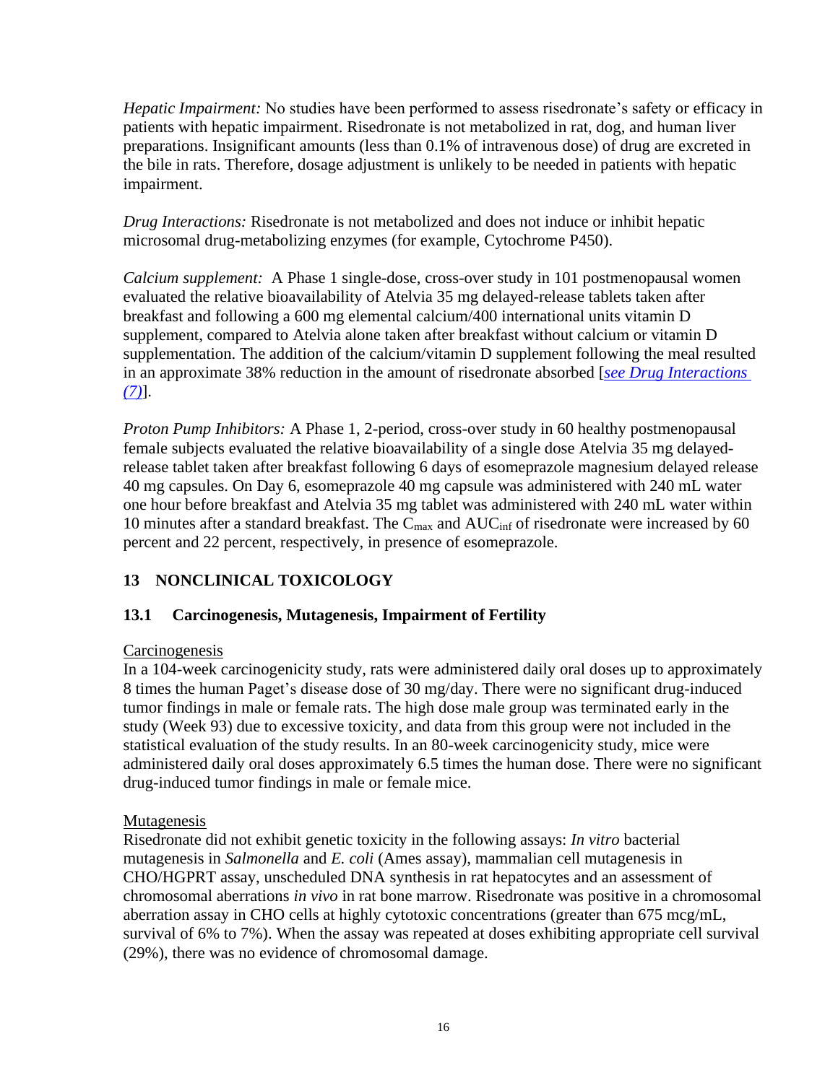*Hepatic Impairment:* No studies have been performed to assess risedronate's safety or efficacy in patients with hepatic impairment. Risedronate is not metabolized in rat, dog, and human liver preparations. Insignificant amounts (less than 0.1% of intravenous dose) of drug are excreted in the bile in rats. Therefore, dosage adjustment is unlikely to be needed in patients with hepatic impairment.

*Drug Interactions:* Risedronate is not metabolized and does not induce or inhibit hepatic microsomal drug-metabolizing enzymes (for example, Cytochrome P450).

*Calcium supplement:* A Phase 1 single-dose, cross-over study in 101 postmenopausal women evaluated the relative bioavailability of Atelvia 35 mg delayed-release tablets taken after breakfast and following a 600 mg elemental calcium/400 international units vitamin D supplement, compared to Atelvia alone taken after breakfast without calcium or vitamin D supplementation. The addition of the calcium/vitamin D supplement following the meal resulted in an approximate 38% reduction in the amount of risedronate absorbed [*[see Drug Interactions](#page-8-1)  [\(7\)](#page-8-1)*].

*Proton Pump Inhibitors:* A Phase 1, 2-period, cross-over study in 60 healthy postmenopausal female subjects evaluated the relative bioavailability of a single dose Atelvia 35 mg delayedrelease tablet taken after breakfast following 6 days of esomeprazole magnesium delayed release 40 mg capsules. On Day 6, esomeprazole 40 mg capsule was administered with 240 mL water one hour before breakfast and Atelvia 35 mg tablet was administered with 240 mL water within 10 minutes after a standard breakfast. The  $C_{\text{max}}$  and  $AUC_{\text{inf}}$  of risedronate were increased by 60 percent and 22 percent, respectively, in presence of esomeprazole.

# <span id="page-15-0"></span>**13 NONCLINICAL TOXICOLOGY**

## <span id="page-15-1"></span>**13.1 Carcinogenesis, Mutagenesis, Impairment of Fertility**

## **Carcinogenesis**

In a 104-week carcinogenicity study, rats were administered daily oral doses up to approximately 8 times the human Paget's disease dose of 30 mg/day. There were no significant drug-induced tumor findings in male or female rats. The high dose male group was terminated early in the study (Week 93) due to excessive toxicity, and data from this group were not included in the statistical evaluation of the study results. In an 80-week carcinogenicity study, mice were administered daily oral doses approximately 6.5 times the human dose. There were no significant drug-induced tumor findings in male or female mice.

## Mutagenesis

Risedronate did not exhibit genetic toxicity in the following assays: *In vitro* bacterial mutagenesis in *Salmonella* and *E. coli* (Ames assay), mammalian cell mutagenesis in CHO/HGPRT assay, unscheduled DNA synthesis in rat hepatocytes and an assessment of chromosomal aberrations *in vivo* in rat bone marrow. Risedronate was positive in a chromosomal aberration assay in CHO cells at highly cytotoxic concentrations (greater than 675 mcg/mL, survival of 6% to 7%). When the assay was repeated at doses exhibiting appropriate cell survival (29%), there was no evidence of chromosomal damage.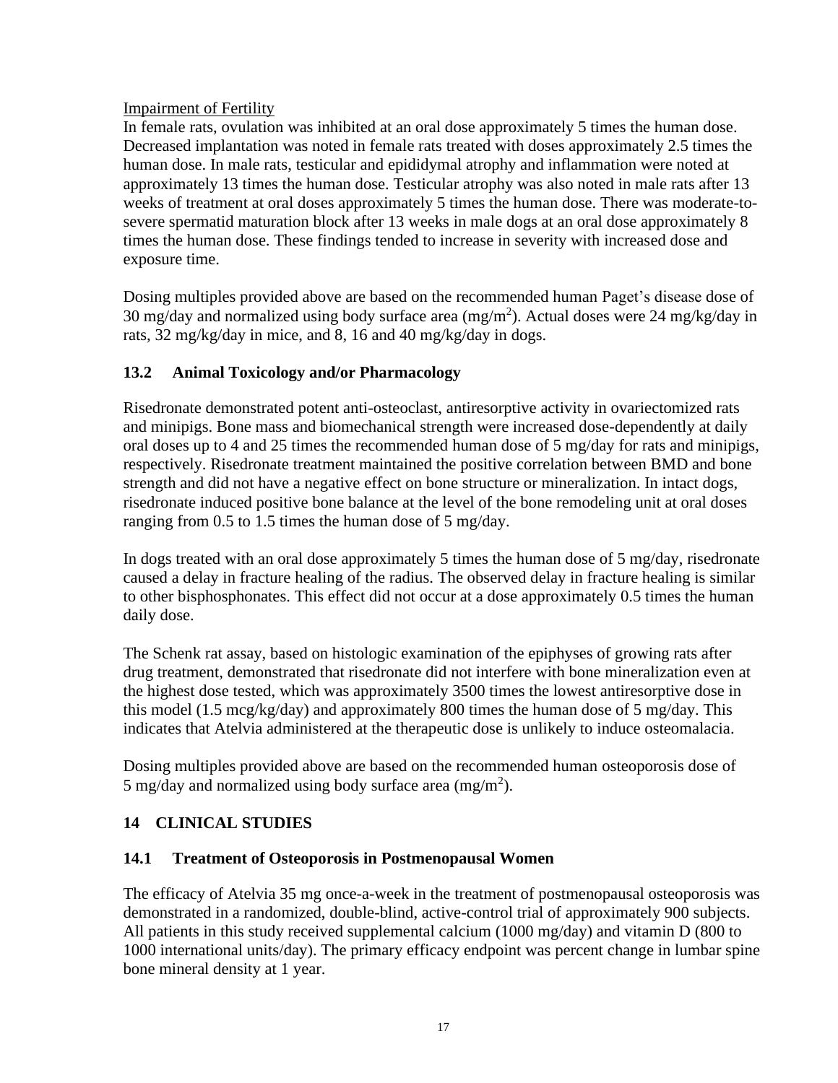#### Impairment of Fertility

In female rats, ovulation was inhibited at an oral dose approximately 5 times the human dose. Decreased implantation was noted in female rats treated with doses approximately 2.5 times the human dose. In male rats, testicular and epididymal atrophy and inflammation were noted at approximately 13 times the human dose. Testicular atrophy was also noted in male rats after 13 weeks of treatment at oral doses approximately 5 times the human dose. There was moderate-tosevere spermatid maturation block after 13 weeks in male dogs at an oral dose approximately 8 times the human dose. These findings tended to increase in severity with increased dose and exposure time.

Dosing multiples provided above are based on the recommended human Paget's disease dose of 30 mg/day and normalized using body surface area  $(mg/m<sup>2</sup>)$ . Actual doses were 24 mg/kg/day in rats, 32 mg/kg/day in mice, and 8, 16 and 40 mg/kg/day in dogs.

#### <span id="page-16-0"></span>**13.2 Animal Toxicology and/or Pharmacology**

Risedronate demonstrated potent anti-osteoclast, antiresorptive activity in ovariectomized rats and minipigs. Bone mass and biomechanical strength were increased dose-dependently at daily oral doses up to 4 and 25 times the recommended human dose of 5 mg/day for rats and minipigs, respectively. Risedronate treatment maintained the positive correlation between BMD and bone strength and did not have a negative effect on bone structure or mineralization. In intact dogs, risedronate induced positive bone balance at the level of the bone remodeling unit at oral doses ranging from 0.5 to 1.5 times the human dose of 5 mg/day.

In dogs treated with an oral dose approximately 5 times the human dose of 5 mg/day, risedronate caused a delay in fracture healing of the radius. The observed delay in fracture healing is similar to other bisphosphonates. This effect did not occur at a dose approximately 0.5 times the human daily dose.

The Schenk rat assay, based on histologic examination of the epiphyses of growing rats after drug treatment, demonstrated that risedronate did not interfere with bone mineralization even at the highest dose tested, which was approximately 3500 times the lowest antiresorptive dose in this model (1.5 mcg/kg/day) and approximately 800 times the human dose of 5 mg/day. This indicates that Atelvia administered at the therapeutic dose is unlikely to induce osteomalacia.

Dosing multiples provided above are based on the recommended human osteoporosis dose of 5 mg/day and normalized using body surface area  $(mg/m<sup>2</sup>)$ .

## <span id="page-16-1"></span>**14 CLINICAL STUDIES**

#### <span id="page-16-2"></span>**14.1 Treatment of Osteoporosis in Postmenopausal Women**

The efficacy of Atelvia 35 mg once-a-week in the treatment of postmenopausal osteoporosis was demonstrated in a randomized, double-blind, active-control trial of approximately 900 subjects. All patients in this study received supplemental calcium (1000 mg/day) and vitamin D (800 to 1000 international units/day). The primary efficacy endpoint was percent change in lumbar spine bone mineral density at 1 year.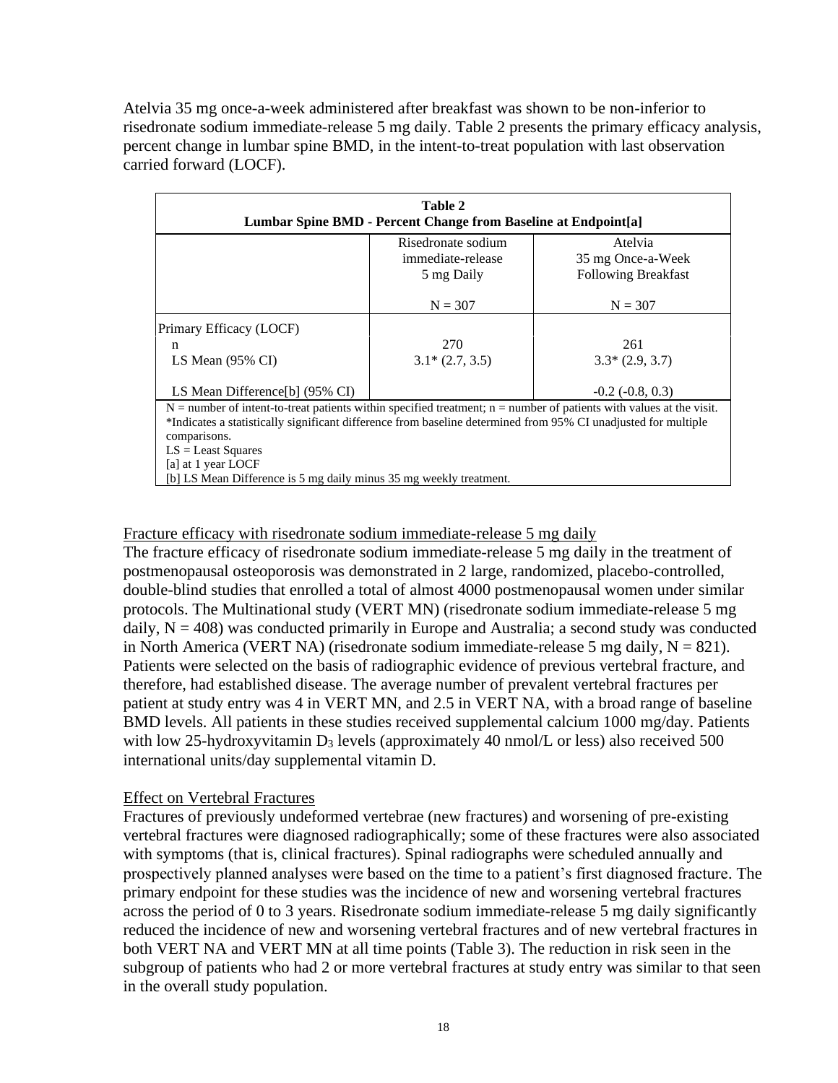Atelvia 35 mg once-a-week administered after breakfast was shown to be non-inferior to risedronate sodium immediate-release 5 mg daily. Table 2 presents the primary efficacy analysis, percent change in lumbar spine BMD, in the intent-to-treat population with last observation carried forward (LOCF).

| Table 2<br>Lumbar Spine BMD - Percent Change from Baseline at Endpoint[a]                                             |                    |                            |  |  |
|-----------------------------------------------------------------------------------------------------------------------|--------------------|----------------------------|--|--|
|                                                                                                                       | Risedronate sodium | Atelvia                    |  |  |
|                                                                                                                       | immediate-release  | 35 mg Once-a-Week          |  |  |
|                                                                                                                       | 5 mg Daily         | <b>Following Breakfast</b> |  |  |
|                                                                                                                       | $N = 307$          | $N = 307$                  |  |  |
| Primary Efficacy (LOCF)                                                                                               |                    |                            |  |  |
| n                                                                                                                     | 270                | 261                        |  |  |
| LS Mean $(95\% \text{ CI})$                                                                                           | $3.1*(2.7, 3.5)$   | $3.3*(2.9, 3.7)$           |  |  |
| LS Mean Difference[b] (95% CI)                                                                                        |                    | $-0.2$ $(-0.8, 0.3)$       |  |  |
| $N =$ number of intent-to-treat patients within specified treatment; n = number of patients with values at the visit. |                    |                            |  |  |
| *Indicates a statistically significant difference from baseline determined from 95% CI unadjusted for multiple        |                    |                            |  |  |
| comparisons.                                                                                                          |                    |                            |  |  |
| $LS = Least Squares$                                                                                                  |                    |                            |  |  |
| [a] at 1 year LOCF                                                                                                    |                    |                            |  |  |
| [b] LS Mean Difference is 5 mg daily minus 35 mg weekly treatment.                                                    |                    |                            |  |  |

#### Fracture efficacy with risedronate sodium immediate-release 5 mg daily

The fracture efficacy of risedronate sodium immediate-release 5 mg daily in the treatment of postmenopausal osteoporosis was demonstrated in 2 large, randomized, placebo-controlled, double-blind studies that enrolled a total of almost 4000 postmenopausal women under similar protocols. The Multinational study (VERT MN) (risedronate sodium immediate-release 5 mg daily,  $N = 408$ ) was conducted primarily in Europe and Australia; a second study was conducted in North America (VERT NA) (risedronate sodium immediate-release 5 mg daily,  $N = 821$ ). Patients were selected on the basis of radiographic evidence of previous vertebral fracture, and therefore, had established disease. The average number of prevalent vertebral fractures per patient at study entry was 4 in VERT MN, and 2.5 in VERT NA, with a broad range of baseline BMD levels. All patients in these studies received supplemental calcium 1000 mg/day. Patients with low 25-hydroxyvitamin  $D_3$  levels (approximately 40 nmol/L or less) also received 500 international units/day supplemental vitamin D.

#### Effect on Vertebral Fractures

Fractures of previously undeformed vertebrae (new fractures) and worsening of pre-existing vertebral fractures were diagnosed radiographically; some of these fractures were also associated with symptoms (that is, clinical fractures). Spinal radiographs were scheduled annually and prospectively planned analyses were based on the time to a patient's first diagnosed fracture. The primary endpoint for these studies was the incidence of new and worsening vertebral fractures across the period of 0 to 3 years. Risedronate sodium immediate-release 5 mg daily significantly reduced the incidence of new and worsening vertebral fractures and of new vertebral fractures in both VERT NA and VERT MN at all time points (Table 3). The reduction in risk seen in the subgroup of patients who had 2 or more vertebral fractures at study entry was similar to that seen in the overall study population.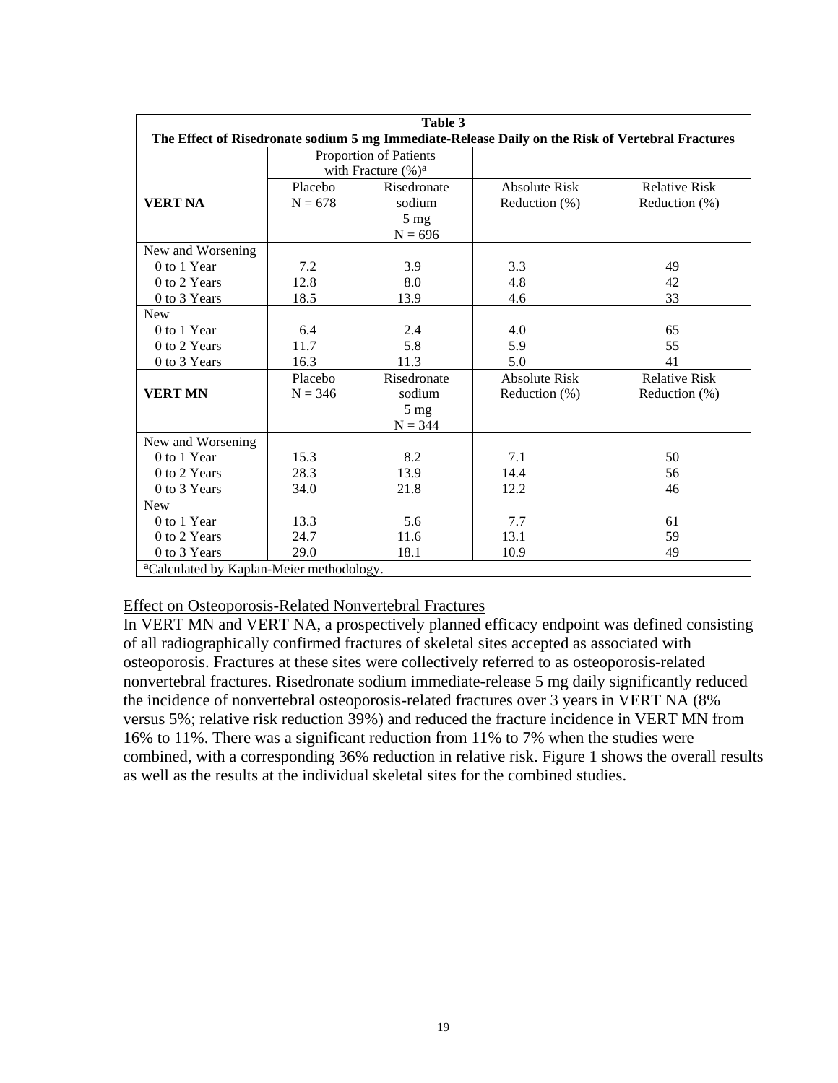| Table 3                                                                                          |                         |                |                      |                      |  |
|--------------------------------------------------------------------------------------------------|-------------------------|----------------|----------------------|----------------------|--|
| The Effect of Risedronate sodium 5 mg Immediate-Release Daily on the Risk of Vertebral Fractures |                         |                |                      |                      |  |
|                                                                                                  | Proportion of Patients  |                |                      |                      |  |
|                                                                                                  | with Fracture $(\% )^a$ |                |                      |                      |  |
|                                                                                                  | Placebo                 | Risedronate    | <b>Absolute Risk</b> | <b>Relative Risk</b> |  |
| <b>VERT NA</b>                                                                                   | $N = 678$               | sodium         | Reduction (%)        | Reduction (%)        |  |
|                                                                                                  |                         | $5 \text{ mg}$ |                      |                      |  |
|                                                                                                  |                         | $N = 696$      |                      |                      |  |
| New and Worsening                                                                                |                         |                |                      |                      |  |
| 0 to 1 Year                                                                                      | 7.2                     | 3.9            | 3.3                  | 49                   |  |
| 0 to 2 Years                                                                                     | 12.8                    | 8.0            | 4.8                  | 42                   |  |
| 0 to 3 Years                                                                                     | 18.5                    | 13.9           | 4.6                  | 33                   |  |
| <b>New</b>                                                                                       |                         |                |                      |                      |  |
| 0 to 1 Year                                                                                      | 6.4                     | 2.4            | 4.0                  | 65                   |  |
| 0 to 2 Years                                                                                     | 11.7                    | 5.8            | 5.9                  | 55                   |  |
| 0 to 3 Years                                                                                     | 16.3                    | 11.3           | 5.0                  | 41                   |  |
|                                                                                                  | Placebo                 | Risedronate    | <b>Absolute Risk</b> | <b>Relative Risk</b> |  |
| <b>VERT MN</b>                                                                                   | $N = 346$               | sodium         | Reduction (%)        | Reduction (%)        |  |
|                                                                                                  |                         | $5 \text{ mg}$ |                      |                      |  |
|                                                                                                  |                         | $N = 344$      |                      |                      |  |
| New and Worsening                                                                                |                         |                |                      |                      |  |
| 0 to 1 Year                                                                                      | 15.3                    | 8.2            | 7.1                  | 50                   |  |
| 0 to 2 Years                                                                                     | 28.3                    | 13.9           | 14.4                 | 56                   |  |
| 0 to 3 Years                                                                                     | 34.0                    | 21.8           | 12.2                 | 46                   |  |
| <b>New</b>                                                                                       |                         |                |                      |                      |  |
| 0 to 1 Year                                                                                      | 13.3                    | 5.6            | 7.7                  | 61                   |  |
| 0 to 2 Years                                                                                     | 24.7                    | 11.6           | 13.1                 | 59                   |  |
| 0 to 3 Years                                                                                     | 29.0                    | 18.1           | 10.9                 | 49                   |  |
| <sup>a</sup> Calculated by Kaplan-Meier methodology.                                             |                         |                |                      |                      |  |

#### Effect on Osteoporosis-Related Nonvertebral Fractures

In VERT MN and VERT NA, a prospectively planned efficacy endpoint was defined consisting of all radiographically confirmed fractures of skeletal sites accepted as associated with osteoporosis. Fractures at these sites were collectively referred to as osteoporosis-related nonvertebral fractures. Risedronate sodium immediate-release 5 mg daily significantly reduced the incidence of nonvertebral osteoporosis-related fractures over 3 years in VERT NA (8% versus 5%; relative risk reduction 39%) and reduced the fracture incidence in VERT MN from 16% to 11%. There was a significant reduction from 11% to 7% when the studies were combined, with a corresponding 36% reduction in relative risk. Figure 1 shows the overall results as well as the results at the individual skeletal sites for the combined studies.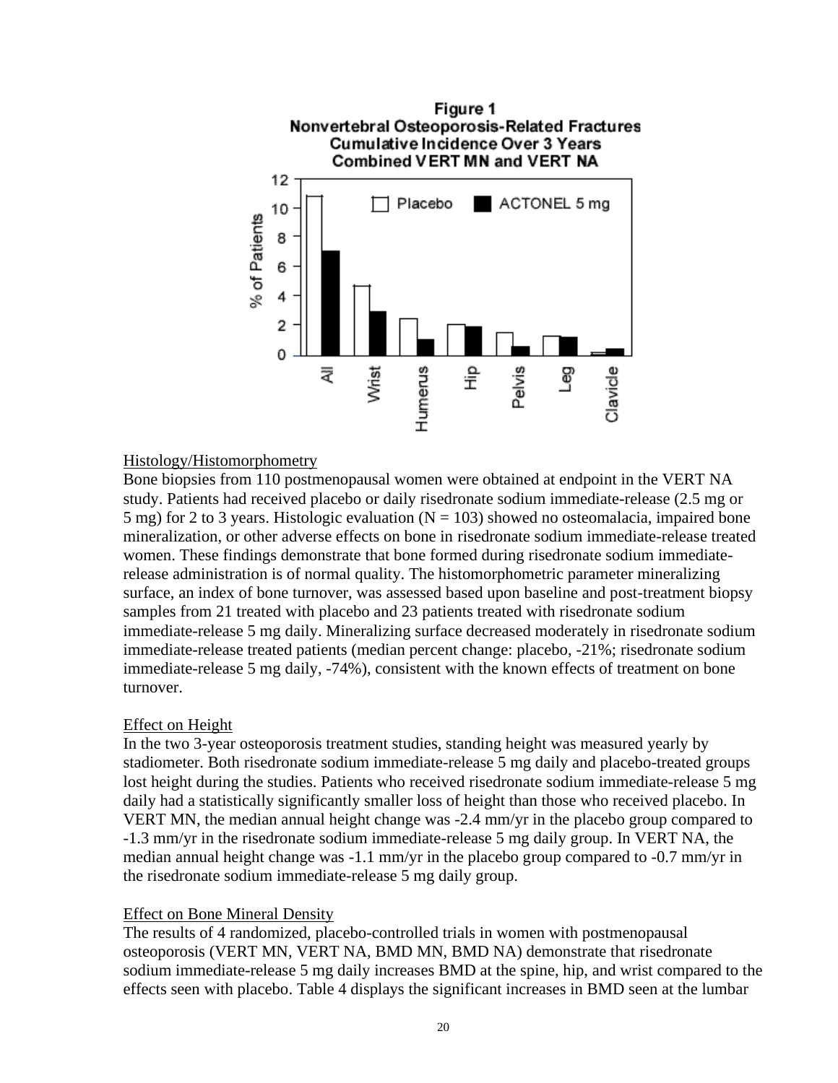

#### Histology/Histomorphometry

Bone biopsies from 110 postmenopausal women were obtained at endpoint in the VERT NA study. Patients had received placebo or daily risedronate sodium immediate-release (2.5 mg or 5 mg) for 2 to 3 years. Histologic evaluation ( $N = 103$ ) showed no osteomalacia, impaired bone mineralization, or other adverse effects on bone in risedronate sodium immediate-release treated women. These findings demonstrate that bone formed during risedronate sodium immediaterelease administration is of normal quality. The histomorphometric parameter mineralizing surface, an index of bone turnover, was assessed based upon baseline and post-treatment biopsy samples from 21 treated with placebo and 23 patients treated with risedronate sodium immediate-release 5 mg daily. Mineralizing surface decreased moderately in risedronate sodium immediate-release treated patients (median percent change: placebo, -21%; risedronate sodium immediate-release 5 mg daily, -74%), consistent with the known effects of treatment on bone turnover.

#### Effect on Height

In the two 3-year osteoporosis treatment studies, standing height was measured yearly by stadiometer. Both risedronate sodium immediate-release 5 mg daily and placebo-treated groups lost height during the studies. Patients who received risedronate sodium immediate-release 5 mg daily had a statistically significantly smaller loss of height than those who received placebo. In VERT MN, the median annual height change was -2.4 mm/yr in the placebo group compared to -1.3 mm/yr in the risedronate sodium immediate-release 5 mg daily group. In VERT NA, the median annual height change was -1.1 mm/yr in the placebo group compared to -0.7 mm/yr in the risedronate sodium immediate-release 5 mg daily group.

#### Effect on Bone Mineral Density

The results of 4 randomized, placebo-controlled trials in women with postmenopausal osteoporosis (VERT MN, VERT NA, BMD MN, BMD NA) demonstrate that risedronate sodium immediate-release 5 mg daily increases BMD at the spine, hip, and wrist compared to the effects seen with placebo. Table 4 displays the significant increases in BMD seen at the lumbar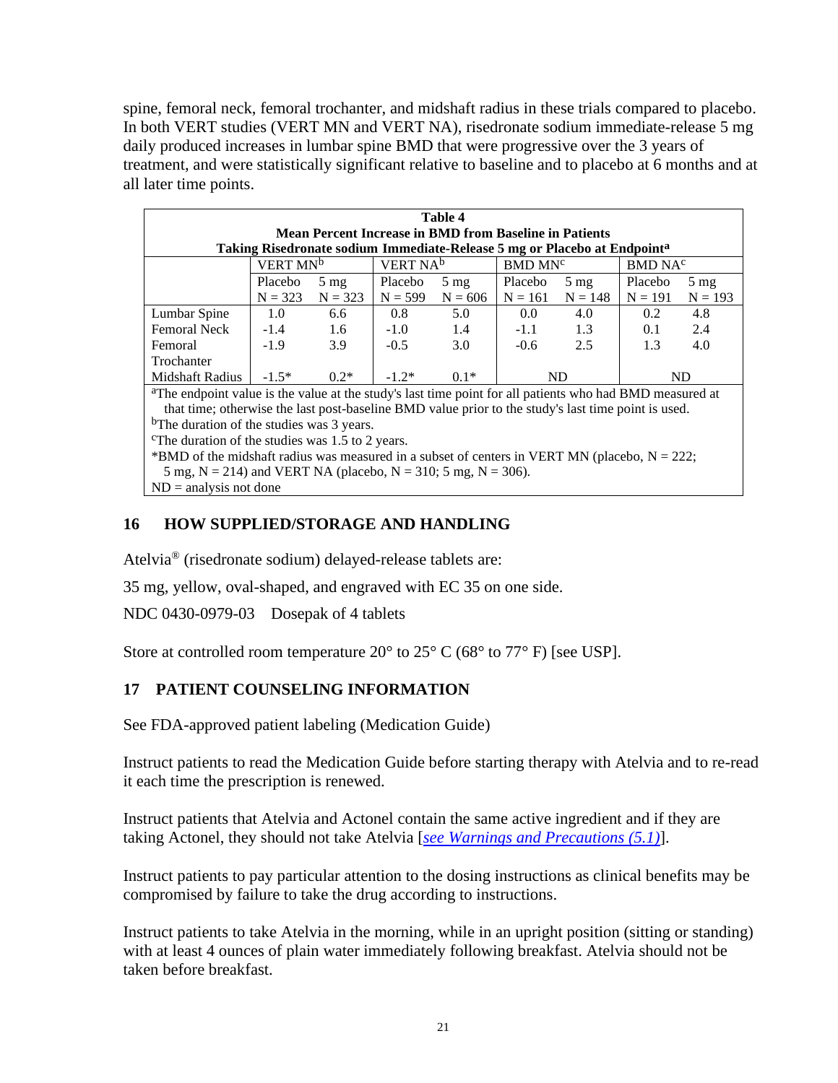spine, femoral neck, femoral trochanter, and midshaft radius in these trials compared to placebo. In both VERT studies (VERT MN and VERT NA), risedronate sodium immediate-release 5 mg daily produced increases in lumbar spine BMD that were progressive over the 3 years of treatment, and were statistically significant relative to baseline and to placebo at 6 months and at all later time points.

| Table 4<br><b>Mean Percent Increase in BMD from Baseline in Patients</b>             |                                              |                |                     |                |                     |                |           |                |
|--------------------------------------------------------------------------------------|----------------------------------------------|----------------|---------------------|----------------|---------------------|----------------|-----------|----------------|
| Taking Risedronate sodium Immediate-Release 5 mg or Placebo at Endpoint <sup>a</sup> |                                              |                |                     |                |                     |                |           |                |
|                                                                                      | VERT MN <sup>b</sup><br>VERT NA <sup>b</sup> |                | BMD MN <sup>c</sup> |                | BMD NA <sup>c</sup> |                |           |                |
|                                                                                      | Placebo                                      | $5 \text{ mg}$ | Placebo             | $5 \text{ mg}$ | Placebo             | $5 \text{ mg}$ | Placebo   | $5 \text{ mg}$ |
|                                                                                      | $N = 323$                                    | $N = 323$      | $N = 599$           | $N = 606$      | $N = 161$           | $N = 148$      | $N = 191$ | $N = 193$      |
| Lumbar Spine                                                                         | 1.0                                          | 6.6            | 0.8                 | 5.0            | 0.0                 | 4.0            | 0.2       | 4.8            |
| <b>Femoral Neck</b>                                                                  | $-1.4$                                       | 1.6            | $-1.0$              | 1.4            | $-1.1$              | 1.3            | 0.1       | 2.4            |
| Femoral                                                                              | $-1.9$                                       | 3.9            | $-0.5$              | 3.0            | $-0.6$              | 2.5            | 1.3       | 4.0            |
| Trochanter                                                                           |                                              |                |                     |                |                     |                |           |                |
| Midshaft Radius                                                                      | $-1.5*$                                      | $0.2*$         | $-1.2*$             | $0.1*$         | ND.                 |                | ND.       |                |

aThe endpoint value is the value at the study's last time point for all patients who had BMD measured at that time; otherwise the last post-baseline BMD value prior to the study's last time point is used. <sup>b</sup>The duration of the studies was 3 years.

The duration of the studies was  $1.5$  to 2 years.

\*BMD of the midshaft radius was measured in a subset of centers in VERT MN (placebo,  $N = 222$ ;

5 mg,  $N = 214$ ) and VERT NA (placebo,  $N = 310$ ; 5 mg,  $N = 306$ ).

 $ND =$  analysis not done

#### <span id="page-20-1"></span>**16 HOW SUPPLIED/STORAGE AND HANDLING**

Atelvia® (risedronate sodium) delayed-release tablets are:

35 mg, yellow, oval-shaped, and engraved with EC 35 on one side.

NDC 0430-0979-03 Dosepak of 4 tablets

Store at controlled room temperature 20 $\degree$  to 25 $\degree$  C (68 $\degree$  to 77 $\degree$  F) [see USP].

## <span id="page-20-0"></span>**17 PATIENT COUNSELING INFORMATION**

See FDA-approved patient labeling (Medication Guide)

Instruct patients to read the Medication Guide before starting therapy with Atelvia and to re-read it each time the prescription is renewed.

Instruct patients that Atelvia and Actonel contain the same active ingredient and if they are taking Actonel, they should not take Atelvia [*see [Warnings and Precautions \(5.1\)](#page-2-3)*].

Instruct patients to pay particular attention to the dosing instructions as clinical benefits may be compromised by failure to take the drug according to instructions.

Instruct patients to take Atelvia in the morning, while in an upright position (sitting or standing) with at least 4 ounces of plain water immediately following breakfast. Atelvia should not be taken before breakfast.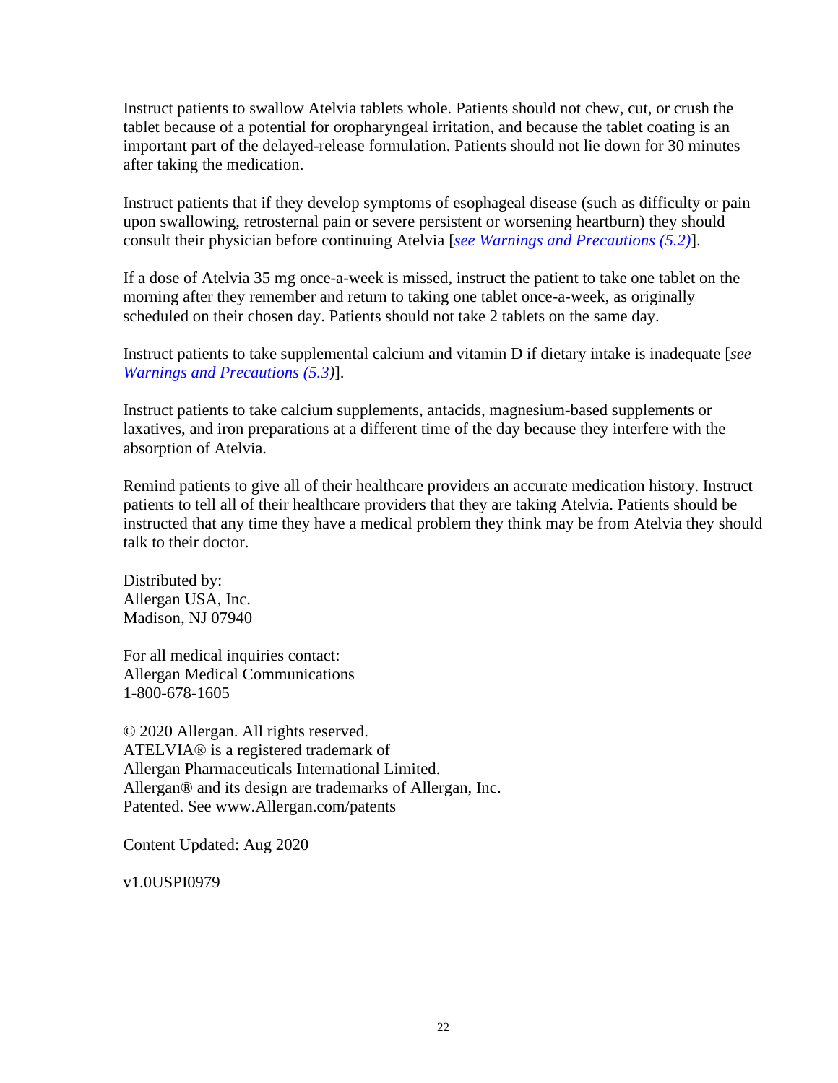Instruct patients to swallow Atelvia tablets whole. Patients should not chew, cut, or crush the tablet because of a potential for oropharyngeal irritation, and because the tablet coating is an important part of the delayed-release formulation. Patients should not lie down for 30 minutes after taking the medication.

Instruct patients that if they develop symptoms of esophageal disease (such as difficulty or pain upon swallowing, retrosternal pain or severe persistent or worsening heartburn) they should consult their physician before continuing Atelvia [*see [Warnings and Precautions \(5.2\)](#page-2-2)*].

If a dose of Atelvia 35 mg once-a-week is missed, instruct the patient to take one tablet on the morning after they remember and return to taking one tablet once-a-week, as originally scheduled on their chosen day. Patients should not take 2 tablets on the same day.

Instruct patients to take supplemental calcium and vitamin D if dietary intake is inadequate [*see [Warnings and Precautions \(5.3\)](#page-3-0)*].

Instruct patients to take calcium supplements, antacids, magnesium-based supplements or laxatives, and iron preparations at a different time of the day because they interfere with the absorption of Atelvia.

Remind patients to give all of their healthcare providers an accurate medication history. Instruct patients to tell all of their healthcare providers that they are taking Atelvia. Patients should be instructed that any time they have a medical problem they think may be from Atelvia they should talk to their doctor.

Distributed by: Allergan USA, Inc. Madison, NJ 07940

For all medical inquiries contact: Allergan Medical Communications 1-800-678-1605

© 2020 Allergan. All rights reserved. ATELVIA® is a registered trademark of Allergan Pharmaceuticals International Limited. Allergan® and its design are trademarks of Allergan, Inc. Patented. See www.Allergan.com/patents

Content Updated: Aug 2020

v1.0USPI0979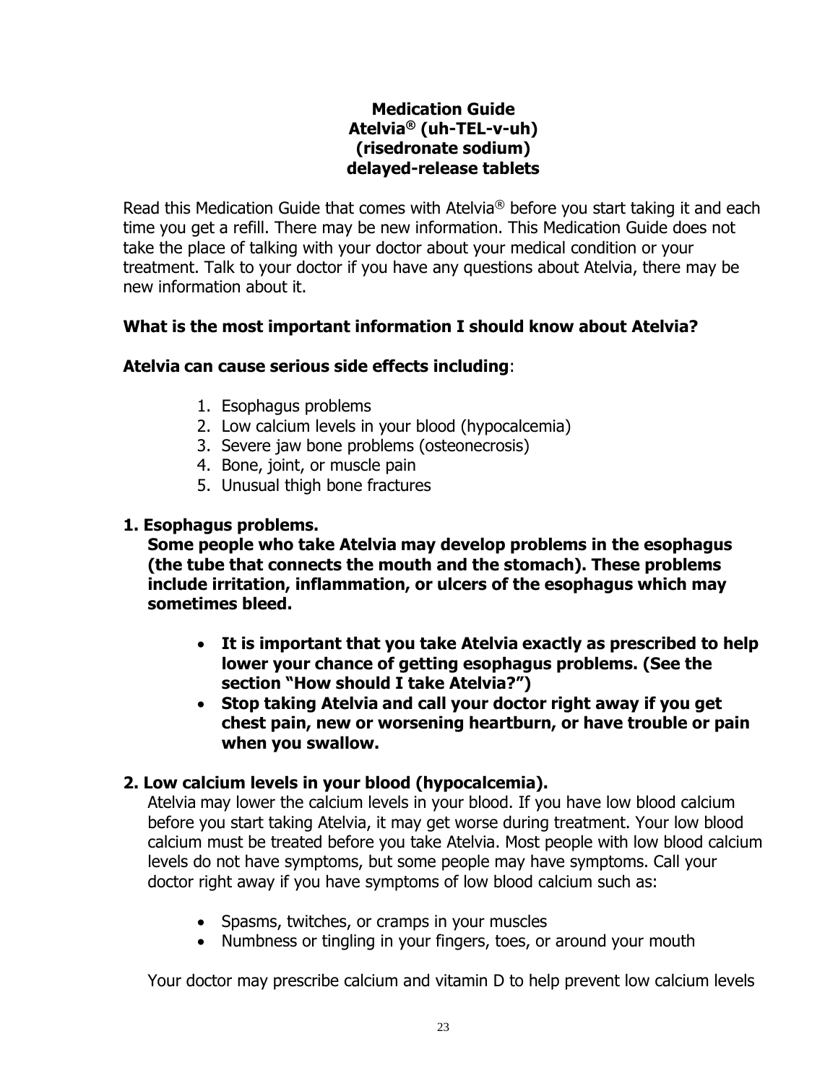## **Medication Guide Atelvia® (uh-TEL-v-uh) (risedronate sodium) delayed-release tablets**

Read this Medication Guide that comes with Atelvia<sup>®</sup> before you start taking it and each time you get a refill. There may be new information. This Medication Guide does not take the place of talking with your doctor about your medical condition or your treatment. Talk to your doctor if you have any questions about Atelvia, there may be new information about it.

## **What is the most important information I should know about Atelvia?**

## **Atelvia can cause serious side effects including**:

- 1. Esophagus problems
- 2. Low calcium levels in your blood (hypocalcemia)
- 3. Severe jaw bone problems (osteonecrosis)
- 4. Bone, joint, or muscle pain
- 5. Unusual thigh bone fractures

## **1. Esophagus problems.**

**Some people who take Atelvia may develop problems in the esophagus (the tube that connects the mouth and the stomach). These problems include irritation, inflammation, or ulcers of the esophagus which may sometimes bleed.**

- **It is important that you take Atelvia exactly as prescribed to help lower your chance of getting esophagus problems. (See the section "How should I take Atelvia?")**
- **Stop taking Atelvia and call your doctor right away if you get chest pain, new or worsening heartburn, or have trouble or pain when you swallow.**

# **2. Low calcium levels in your blood (hypocalcemia).**

Atelvia may lower the calcium levels in your blood. If you have low blood calcium before you start taking Atelvia, it may get worse during treatment. Your low blood calcium must be treated before you take Atelvia. Most people with low blood calcium levels do not have symptoms, but some people may have symptoms. Call your doctor right away if you have symptoms of low blood calcium such as:

- Spasms, twitches, or cramps in your muscles
- Numbness or tingling in your fingers, toes, or around your mouth

Your doctor may prescribe calcium and vitamin D to help prevent low calcium levels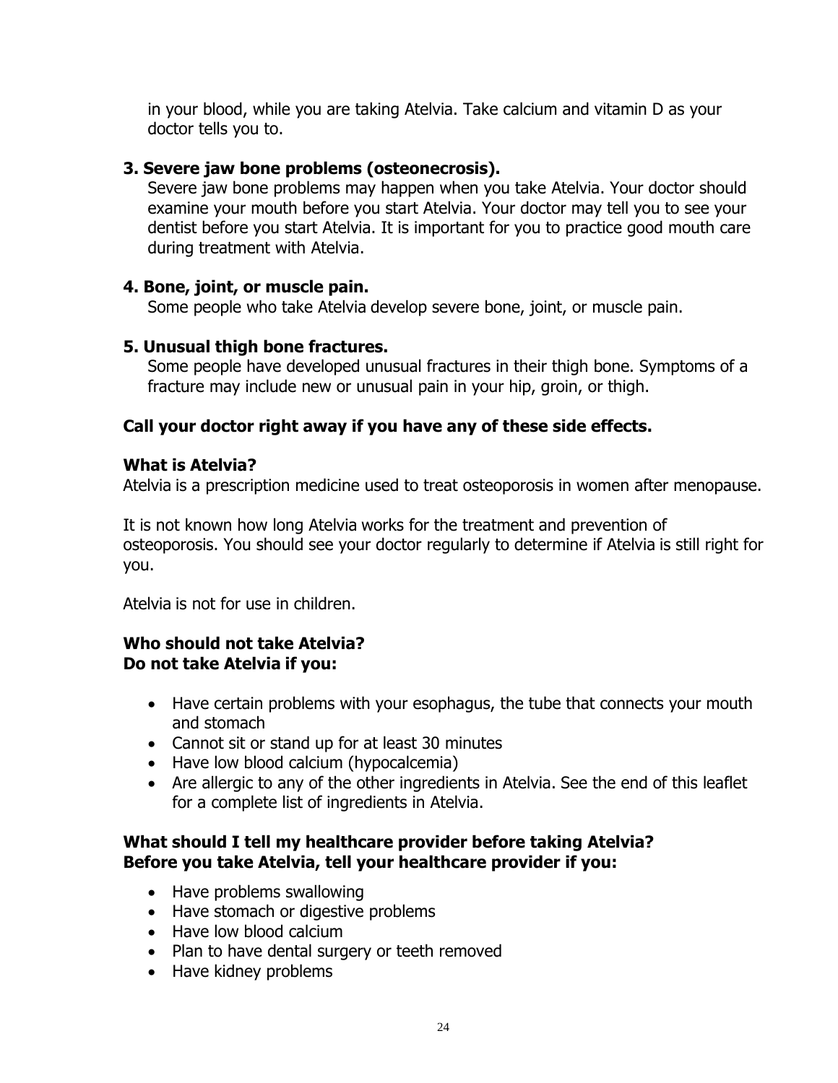in your blood, while you are taking Atelvia. Take calcium and vitamin D as your doctor tells you to.

## **3. Severe jaw bone problems (osteonecrosis).**

Severe jaw bone problems may happen when you take Atelvia. Your doctor should examine your mouth before you start Atelvia. Your doctor may tell you to see your dentist before you start Atelvia. It is important for you to practice good mouth care during treatment with Atelvia.

## **4. Bone, joint, or muscle pain.**

Some people who take Atelvia develop severe bone, joint, or muscle pain.

## **5. Unusual thigh bone fractures.**

Some people have developed unusual fractures in their thigh bone. Symptoms of a fracture may include new or unusual pain in your hip, groin, or thigh.

# **Call your doctor right away if you have any of these side effects.**

## **What is Atelvia?**

Atelvia is a prescription medicine used to treat osteoporosis in women after menopause.

It is not known how long Atelvia works for the treatment and prevention of osteoporosis. You should see your doctor regularly to determine if Atelvia is still right for you.

Atelvia is not for use in children.

## **Who should not take Atelvia? Do not take Atelvia if you:**

- Have certain problems with your esophagus, the tube that connects your mouth and stomach
- Cannot sit or stand up for at least 30 minutes
- Have low blood calcium (hypocalcemia)
- Are allergic to any of the other ingredients in Atelvia. See the end of this leaflet for a complete list of ingredients in Atelvia.

## **What should I tell my healthcare provider before taking Atelvia? Before you take Atelvia, tell your healthcare provider if you:**

- Have problems swallowing
- Have stomach or digestive problems
- Have low blood calcium
- Plan to have dental surgery or teeth removed
- Have kidney problems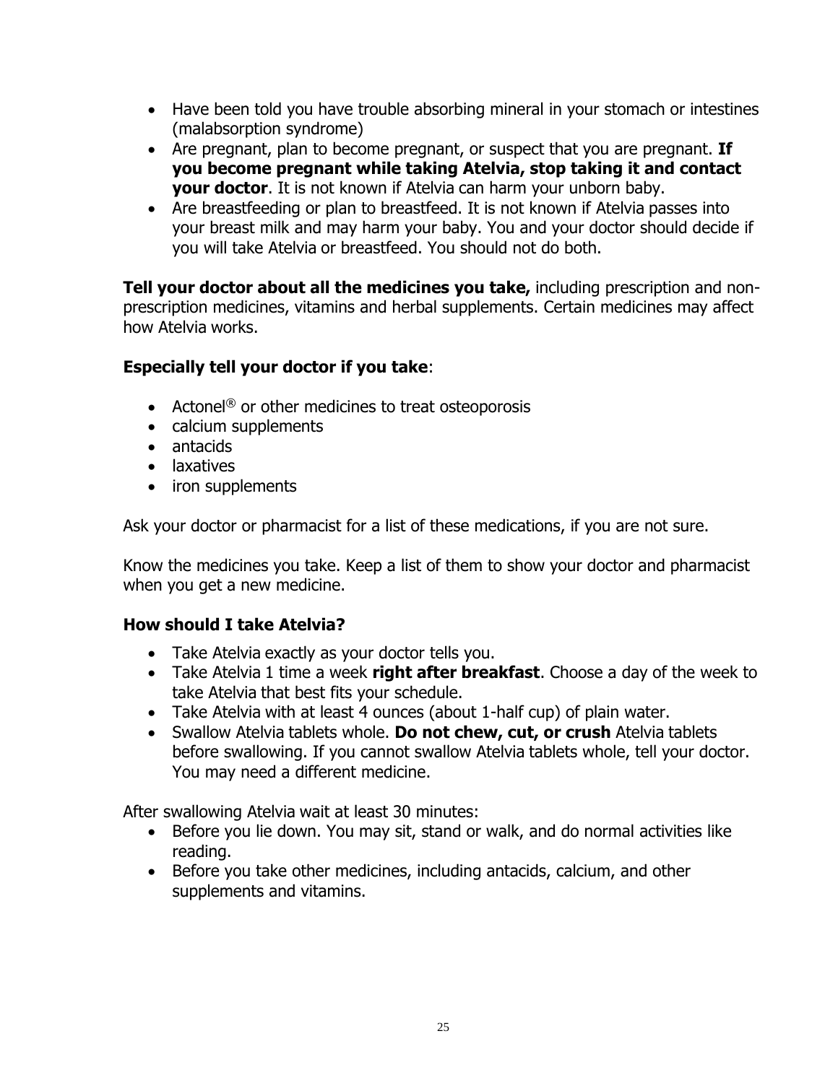- Have been told you have trouble absorbing mineral in your stomach or intestines (malabsorption syndrome)
- Are pregnant, plan to become pregnant, or suspect that you are pregnant. **If you become pregnant while taking Atelvia, stop taking it and contact your doctor**. It is not known if Atelvia can harm your unborn baby.
- Are breastfeeding or plan to breastfeed. It is not known if Atelvia passes into your breast milk and may harm your baby. You and your doctor should decide if you will take Atelvia or breastfeed. You should not do both.

**Tell your doctor about all the medicines you take,** including prescription and nonprescription medicines, vitamins and herbal supplements. Certain medicines may affect how Atelvia works.

## **Especially tell your doctor if you take**:

- Actonel<sup>®</sup> or other medicines to treat osteoporosis
- calcium supplements
- antacids
- laxatives
- iron supplements

Ask your doctor or pharmacist for a list of these medications, if you are not sure.

Know the medicines you take. Keep a list of them to show your doctor and pharmacist when you get a new medicine.

## **How should I take Atelvia?**

- Take Atelvia exactly as your doctor tells you.
- Take Atelvia 1 time a week **right after breakfast**. Choose a day of the week to take Atelvia that best fits your schedule.
- Take Atelvia with at least 4 ounces (about 1-half cup) of plain water.
- Swallow Atelvia tablets whole. **Do not chew, cut, or crush** Atelvia tablets before swallowing. If you cannot swallow Atelvia tablets whole, tell your doctor. You may need a different medicine.

After swallowing Atelvia wait at least 30 minutes:

- Before you lie down. You may sit, stand or walk, and do normal activities like reading.
- Before you take other medicines, including antacids, calcium, and other supplements and vitamins.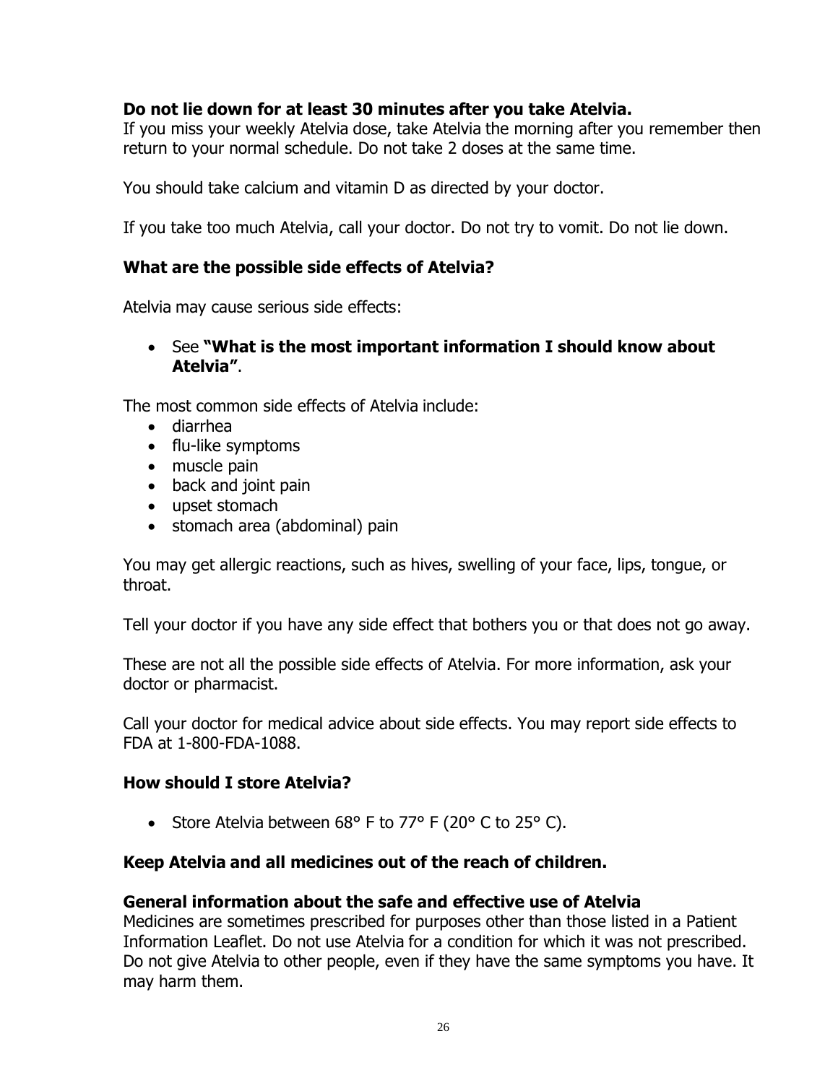## **Do not lie down for at least 30 minutes after you take Atelvia.**

If you miss your weekly Atelvia dose, take Atelvia the morning after you remember then return to your normal schedule. Do not take 2 doses at the same time.

You should take calcium and vitamin D as directed by your doctor.

If you take too much Atelvia, call your doctor. Do not try to vomit. Do not lie down.

#### **What are the possible side effects of Atelvia?**

Atelvia may cause serious side effects:

• See **"What is the most important information I should know about Atelvia"**.

The most common side effects of Atelvia include:

- diarrhea
- flu-like symptoms
- muscle pain
- back and joint pain
- upset stomach
- stomach area (abdominal) pain

You may get allergic reactions, such as hives, swelling of your face, lips, tongue, or throat.

Tell your doctor if you have any side effect that bothers you or that does not go away.

These are not all the possible side effects of Atelvia. For more information, ask your doctor or pharmacist.

Call your doctor for medical advice about side effects. You may report side effects to FDA at 1-800-FDA-1088.

#### **How should I store Atelvia?**

• Store Atelvia between 68° F to 77° F (20° C to 25° C).

## **Keep Atelvia and all medicines out of the reach of children.**

#### **General information about the safe and effective use of Atelvia**

Medicines are sometimes prescribed for purposes other than those listed in a Patient Information Leaflet. Do not use Atelvia for a condition for which it was not prescribed. Do not give Atelvia to other people, even if they have the same symptoms you have. It may harm them.